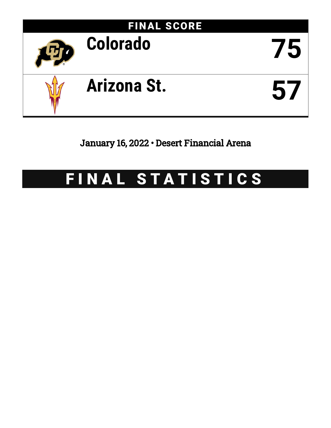

January 16, 2022 • Desert Financial Arena

# FINAL STATISTICS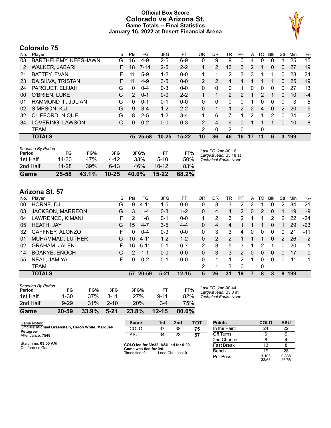#### **Official Box Score Colorado vs Arizona St. Game Totals -- Final Statistics January 16, 2022 at Desert Financial Arena**



# **Colorado 75**

| No.               | Plaver                 | S  | <b>Pts</b>    | FG       | 3FG       | FТ        | 0 <sub>R</sub> | DR             | TR             | PF             | A                    | TO | <b>B</b> lk | Stl | Min | $+/-$          |
|-------------------|------------------------|----|---------------|----------|-----------|-----------|----------------|----------------|----------------|----------------|----------------------|----|-------------|-----|-----|----------------|
| 03                | BARTHELEMY, KEESHAWN   | G  | 16            | $4 - 9$  | $2 - 5$   | $6 - 9$   | 0              | 9              | 9              | 0              | 4                    | 0  | 0           |     | 25  | 15             |
| $12 \overline{ }$ | WALKER, JABARI         | F. | 18            | $7 - 14$ | $2 - 5$   | $2 - 2$   |                | 12             | 13             | 3              | 2                    |    | 0           | 0   | 27  | 19             |
| 21                | <b>BATTEY, EVAN</b>    | F  | 11            | $5-9$    | $1 - 2$   | $0 - 0$   | 1.             |                | 2              | 3              | 3                    |    |             | 0   | 28  | 24             |
| 23                | DA SILVA, TRISTAN      | F. | 11            | $4-9$    | $3 - 5$   | $0 - 0$   | $\overline{2}$ | 2              | 4              | $\overline{4}$ | 1                    |    |             | 0   | 25  | 19             |
| 24                | PARQUET, ELIJAH        | G  | 0             | $0 - 4$  | $0 - 3$   | $0 - 0$   | $\Omega$       | $\Omega$       | 0              |                | 0                    | 0  | 0           | 0   | 27  | 13             |
| 00                | O'BRIEN, LUKE          | G  | $\mathcal{P}$ | $0 - 1$  | $0 - 0$   | $2 - 2$   |                |                | $\overline{2}$ | $\mathcal{P}$  | 1                    | 2  |             | 0   | 10  | $-4$           |
| 01                | HAMMOND III, JULIAN    | G  | $\Omega$      | $0 - 1$  | $0 - 1$   | $0 - 0$   | $\Omega$       | 0              | 0              | 0              | 1                    | 0  | 0           | 0   | 3   | 5              |
| 02                | SIMPSON, K.J.          | G  | 9             | $3 - 4$  | $1 - 2$   | $2 - 2$   | $\Omega$       | 1              | 1              | $\mathcal{P}$  | 2                    | 4  | $\Omega$    | 2   | 20  | 5              |
| 32                | <b>CLIFFORD, NIQUE</b> | G  | 8             | $2 - 5$  | $1 - 2$   | $3 - 4$   | 1              | 6              |                |                | 2                    | 1  | 2           | 0   | 24  | $\overline{2}$ |
| 34                | LOVERING, LAWSON       | С  | 0             | $0 - 2$  | $0 - 0$   | $0 - 3$   | $\mathcal{P}$  | $\overline{4}$ | 6              | 0              | $\blacktriangleleft$ |    |             | 0   | 10  | -8             |
|                   | <b>TEAM</b>            |    |               |          |           |           | 2              | 0              | 2              | $\Omega$       |                      | 0  |             |     |     |                |
|                   | <b>TOTALS</b>          |    | 75.           | 25-58    | $10 - 25$ | $15 - 22$ | 10             | 36             | 46             | 16             | 17                   | 11 | 6           | 3   | 199 |                |

| Game                                | 25-58 | 43.1% | $10 - 25$ | 40.0% | $15 - 22$ | 68.2% |                                              |
|-------------------------------------|-------|-------|-----------|-------|-----------|-------|----------------------------------------------|
| 2nd Half                            | 11-28 | 39%   | 6-13      | 46%   | $10 - 12$ | 83%   |                                              |
| 1st Half                            | 14-30 | 47%   | 4-12      | 33%   | $5 - 10$  | 50%   | Technical Fouls: None.                       |
| <b>Shooting By Period</b><br>Period | FG    | FG%   | 3FG       | 3FG%  | FT        | FT%   | Last FG: 2nd-00:16<br>Largest lead: By 18 at |

# **Arizona St. 57**

| No. | Plaver                  | S  | Pts           | FG.      | 3FG      | FТ        | OR           | DR | TR            | PF | A | TO       | <b>B</b> lk    | Stl | Min | $+/-$        |
|-----|-------------------------|----|---------------|----------|----------|-----------|--------------|----|---------------|----|---|----------|----------------|-----|-----|--------------|
| 00  | HORNE, DJ               | G  | 9             | 4-11     | 1-5      | $0 - 0$   | 0            | 3  | 3             | 2  | 2 |          | 0              | 2   | 34  | $-21$        |
| 03  | <b>JACKSON, MARREON</b> | G  | 3             | $1 - 4$  | $0 - 3$  | $1 - 2$   | $\mathbf{0}$ | 4  | 4             | 2  | 0 | 2        | 0              |     | 19  | -9           |
| 04  | LAWRENCE, KIMANI        | F. | 2             | 1-8      | $0 - 1$  | $0 - 0$   |              | 2  | 3             | 2  |   | 1        | $\overline{2}$ | 2   | 22  | $-24$        |
| 05  | HEATH, JAY              | G  | 15            | $4 - 7$  | $3-5$    | $4 - 4$   | $\Omega$     | 4  | 4             |    |   |          | 0              |     | 29  | $-23$        |
| 32  | GAFFNEY, ALONZO         | F. | 0             | $0 - 4$  | $0 - 3$  | $0 - 0$   | 0            | 3  | 3             | 4  | 0 | $\Omega$ | 0              | 0   | 21  | $-11$        |
| 01  | MUHAMMAD, LUTHER        | G  | 10            | $4 - 11$ | $1 - 2$  | $1 - 2$   | 0            | 2  | $\mathcal{P}$ |    |   | 1        | $\Omega$       | 2   | 26  | $-2$         |
| 02  | <b>GRAHAM, JALEN</b>    | F. | 16            | $5 - 11$ | $0 - 1$  | $6 - 7$   | 2            | 3  | 5             | 3  |   | 2        |                | 0   | 20  | -1           |
| 14  | <b>BOAKYE, ENOCH</b>    | C  | $\mathcal{P}$ | $1 - 1$  | $0 - 0$  | $0 - 0$   | $\Omega$     | 3  | 3             | 2  | 0 | $\Omega$ | 0              | 0   | 17  | $\mathbf{0}$ |
| 55  | NEAL, JAMIYA            | F  | 0             | $0 - 2$  | $0 - 1$  | $0 - 0$   | 0            |    |               | 2  |   | 0        | 0              | 0   | 11  | 1            |
|     | <b>TEAM</b>             |    |               |          |          |           | 2            |    | 3             | 0  |   | 0        |                |     |     |              |
|     | <b>TOTALS</b>           |    |               | 57 20-59 | $5 - 21$ | $12 - 15$ | 5.           | 26 | 31            | 19 | 7 | 8        | 3              | 8   | 199 |              |

| Game                                | 20-59    | 33.9% | $5 - 21$ | 23.8% | $12 - 15$ | 80.0% |   |
|-------------------------------------|----------|-------|----------|-------|-----------|-------|---|
| 2nd Half                            | $9 - 29$ | 31%   | $2 - 10$ | 20%   | $3 - 4$   | 75%   |   |
| 1st Half                            | 11-30    | 37%   | $3 - 11$ | 27%   | $9 - 11$  | 82%   | Τ |
| <b>Shooting By Period</b><br>Period | FG       | FG%   | 3FG      | 3FG%  | FT        | FT%   |   |

*Last FG:* 2nd-00:44 *Largest lead:* By 0 at *Technical Fouls:* None.

Per Poss

 $\frac{15}{1.103}$ <br>33/68

0.838 26/68

| Game Notes:                                         | <b>Score</b>                                   | 1st | 2 <sub>nd</sub> | <b>TOT</b> | <b>Points</b>     | COLO | <b>ASU</b> |
|-----------------------------------------------------|------------------------------------------------|-----|-----------------|------------|-------------------|------|------------|
| Officials: Michael Greenstein, Deron White, Marques | COLO                                           | 37  | 38              | 75         | In the Paint      | 24   | 22         |
| <b>Pettigrew</b><br>Attendance: 7548                | ASU                                            | 34  | 23              | 57         | Off Turns         |      |            |
|                                                     |                                                |     |                 |            | 2nd Chance        |      |            |
| Start Time: 03:00 AM<br>Conference Game:            | COLO led for 39:32. ASU led for 0:00.          |     |                 |            | <b>Fast Break</b> |      |            |
|                                                     | Game was tied for 0:0.<br>Timae tiad: <b>N</b> |     | And Changer 0   |            | Bench             | 19   | 28         |

**f C for f** Lead Changes: 0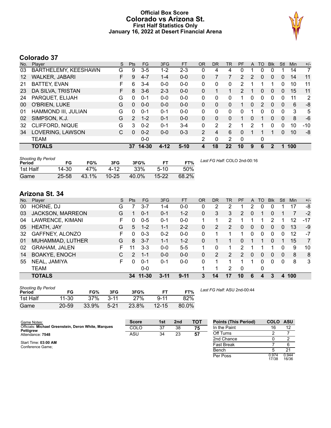#### **Official Box Score Colorado vs Arizona St. First Half Statistics Only January 16, 2022 at Desert Financial Arena**



# **Colorado 37**

| No. | Plaver                | S  | <b>Pts</b>    | <b>FG</b> | 3FG      | <b>FT</b> | <b>OR</b> | <b>DR</b> | <b>TR</b>      | PF             | A        | TO            | <b>B</b> lk  | Stl          | Min | $+/-$ |
|-----|-----------------------|----|---------------|-----------|----------|-----------|-----------|-----------|----------------|----------------|----------|---------------|--------------|--------------|-----|-------|
| 03  | BARTHELEMY, KEESHAWN  | G  | 9             | $3 - 5$   | $1 - 2$  | $2 - 3$   | 0         | 4         | 4              |                |          | 0             |              |              | 14  | 7     |
| 12  | <b>WALKER, JABARI</b> | F  | 9             | $4 - 7$   | $1 - 4$  | $0 - 0$   | 0         |           | 7              | $\overline{2}$ | 2        | 0             | 0            | 0            | 14  | 11    |
| 21  | <b>BATTEY, EVAN</b>   | F  | 6             | $3 - 4$   | $0 - 0$  | $0 - 0$   | 0         | 0         | 0              | 2              | 1        |               |              | 0            | 10  | 11    |
| 23  | DA SILVA, TRISTAN     | F. | 8             | $3-6$     | $2 - 3$  | $0 - 0$   | 0         | 1         |                | $\overline{2}$ |          | 0             | 0            | 0            | 15  | 11    |
| 24  | PARQUET, ELIJAH       | G  | 0             | $0 - 1$   | $0 - 0$  | $0 - 0$   | 0         | 0         | 0              | 1              | 0        | $\Omega$      | $\Omega$     | 0            | 11  | 2     |
| 00  | O'BRIEN, LUKE         | G  | $\Omega$      | $0 - 0$   | $0 - 0$  | $0 - 0$   | 0         | $\Omega$  | 0              | 1              | $\Omega$ | $\mathcal{P}$ | $\Omega$     | $\Omega$     | 6   | -8    |
| 01  | HAMMOND III, JULIAN   | G  | $\Omega$      | $0 - 1$   | $0 - 1$  | $0 - 0$   | 0         | 0         | $\Omega$       | 0              |          | 0             | $\Omega$     | $\Omega$     | 3   | 5     |
| 02  | SIMPSON, K.J.         | G  | $\mathcal{P}$ | $1 - 2$   | $0 - 1$  | $0 - 0$   | 0         | 0         | 0              |                | 0        |               | $\mathbf{0}$ | $\mathbf{0}$ | 8   | -6    |
| 32  | CLIFFORD, NIQUE       | G  | 3             | $0 - 2$   | $0 - 1$  | $3 - 4$   | 0         | 2         | 2              | 1              | 2        |               | 0            | 0            | 10  | $-10$ |
| 34  | LOVERING, LAWSON      | С  | $\Omega$      | $0 - 2$   | $0 - 0$  | $0 - 3$   | 2         | 4         | 6              | 0              |          |               |              | $\mathbf{0}$ | 10  | -8    |
|     | <b>TEAM</b>           |    |               | $0 - 0$   |          |           | 2         | 0         | $\overline{2}$ | 0              |          | 0             |              |              |     |       |
|     | <b>TOTALS</b>         |    | 37            | $14 - 30$ | $4 - 12$ | $5-10$    | 4         | 18        | 22             | 10             | 9        | 6             | 2            | 1            | 100 |       |

| <b>Shooting By Period</b><br>Period | FG        | FG%   | 3FG       | 3FG%  | <b>FT</b> | FT%   | Last FG Half: COLO 2nd-00:16 |
|-------------------------------------|-----------|-------|-----------|-------|-----------|-------|------------------------------|
| 1st Half                            | 14-30     | 47%   | 4-12      | 33%   | $5-10$    | 50%   |                              |
| Game                                | $25 - 58$ | 43.1% | $10 - 25$ | 40.0% | $15 - 22$ | 68.2% |                              |

# **Arizona St. 34**

| No. | Player                  | S  | <b>Pts</b>    | <b>FG</b> | 3FG      | <b>FT</b> | <b>OR</b> | DR       | <b>TR</b> | PF            | A        | TO | <b>Blk</b> | Stl | Min | $+/-$          |
|-----|-------------------------|----|---------------|-----------|----------|-----------|-----------|----------|-----------|---------------|----------|----|------------|-----|-----|----------------|
| 00  | HORNE, DJ               | G  |               | $3 - 7$   | 1-4      | $0 - 0$   | 0         | 2        | 2         |               | 2        | 0  |            |     | 17  | -8             |
| 03  | <b>JACKSON, MARREON</b> | G  |               | $0 - 1$   | $0 - 1$  | $1 - 2$   | $\Omega$  | 3        | 3         | $\mathcal{P}$ | $\Omega$ |    | 0          |     |     | $-2$           |
| 04  | LAWRENCE, KIMANI        | F  | 0             | $0 - 5$   | $0 - 1$  | $0-0$     | 1         |          | 2         |               |          |    | 2          |     | 12  | $-17$          |
| 05  | HEATH, JAY              | G  | 5             | $1 - 2$   | $1 - 1$  | $2 - 2$   | 0         | 2        | 2         | 0             | 0        | 0  | 0          | 0   | 13  | -9             |
| 32  | GAFFNEY, ALONZO         | F. | 0             | $0 - 3$   | $0 - 2$  | $0 - 0$   | 0         |          |           |               | 0        | 0  | 0          | 0   | 12  | -7             |
| 01  | MUHAMMAD, LUTHER        | G  | 8             | $3 - 7$   | $1 - 1$  | $1 - 2$   | 0         |          |           | 0             |          |    | 0          |     | 15  | $\overline{7}$ |
| 02  | <b>GRAHAM, JALEN</b>    | F  | 11            | $3 - 3$   | $0 - 0$  | $5 - 5$   |           | $\Omega$ |           | 2             |          |    |            | 0   | 9   | 10             |
| 14  | <b>BOAKYE, ENOCH</b>    |    | $\mathcal{P}$ | $1 - 1$   | $0 - 0$  | $0 - 0$   | 0         | 2        | 2         | $\mathcal{P}$ | $\Omega$ | 0  | $\Omega$   | 0   | 8   | 8              |
| 55  | NEAL, JAMIYA            | F  | 0             | $0 - 1$   | $0 - 1$  | $0 - 0$   | 0         |          |           | 1             | 1        | 0  | 0          | 0   | 8   | 3              |
|     | <b>TEAM</b>             |    |               | $0 - 0$   |          |           |           | 1        | 2         | $\mathbf 0$   |          | 0  |            |     |     |                |
|     | <b>TOTALS</b>           |    | 34            | 11-30     | $3 - 11$ | $9 - 11$  | 3         | 14       | 17        | 10            | 6        | 4  | З          | 4   | 100 |                |

| <b>Shooting By Period</b><br>Period | FG    | FG%   | 3FG      | 3FG%  | FT        | FT%   |
|-------------------------------------|-------|-------|----------|-------|-----------|-------|
| 1st Half                            | 11-30 | 37%   | $3 - 11$ | 27%   | $9 - 11$  | 82%   |
| Game                                | 20-59 | 33.9% | $5-21$   | 23.8% | $12 - 15$ | 80.0% |

*Last FG Half:* ASU 2nd-00:44

| Game Notes:                                         | <b>Score</b> | 1st | 2 <sub>nd</sub> | <b>TOT</b> | <b>Points (This Period)</b> | <b>COLO ASU</b> |                |
|-----------------------------------------------------|--------------|-----|-----------------|------------|-----------------------------|-----------------|----------------|
| Officials: Michael Greenstein, Deron White, Marques | COLO         | 37  | 38              | 75         | In the Paint                | 16              | 12             |
| Pettigrew<br>Attendance: 7548                       | ASU          | 34  | 23              | 57         | Off Turns                   |                 |                |
|                                                     |              |     |                 |            | 2nd Chance                  |                 |                |
| Start Time: 03:00 AM<br>Conference Game:            |              |     |                 |            | <b>Fast Break</b>           |                 |                |
|                                                     |              |     |                 |            | Bench                       |                 | 21             |
|                                                     |              |     |                 |            | Per Poss                    | 0.974<br>17/38  | 0.944<br>16/36 |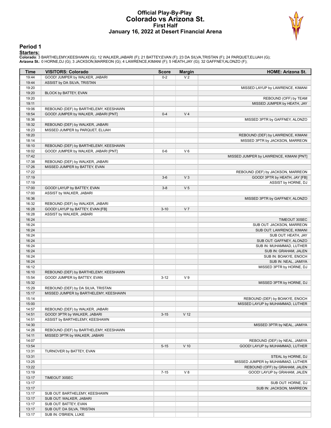#### **Official Play-By-Play Colorado vs Arizona St. First Half January 16, 2022 at Desert Financial Arena**



#### **Period 1**

<mark>Starters:</mark><br>Colorado: 3 BARTHELEMY,KEESHAWN (G); 12 WALKER,JABARI (F); 21 BATTEY,EVAN (F); 23 DA SILVA,TRISTAN (F); 24 PARQUET,ELIJAH (G);<br>**Arizona St.**: 0 HORNE,DJ (G); 3 JACKSON,MARREON (G); 4 LAWRENCE,KIMANI (F); 5 HEAT

| Time  | <b>VISITORS: Colorado</b>             | <b>Score</b> | <b>Margin</b>   | <b>HOME: Arizona St.</b>                |
|-------|---------------------------------------|--------------|-----------------|-----------------------------------------|
| 19:44 | GOOD! JUMPER by WALKER, JABARI        | $0 - 2$      | V <sub>2</sub>  |                                         |
| 19:44 | ASSIST by DA SILVA, TRISTAN           |              |                 |                                         |
| 19:20 |                                       |              |                 | MISSED LAYUP by LAWRENCE, KIMANI        |
| 19:20 | BLOCK by BATTEY, EVAN                 |              |                 |                                         |
| 19:20 |                                       |              |                 | REBOUND (OFF) by TEAM                   |
| 19:11 |                                       |              |                 | MISSED JUMPER by HEATH, JAY             |
| 19:06 | REBOUND (DEF) by BARTHELEMY, KEESHAWN |              |                 |                                         |
| 18:54 | GOOD! JUMPER by WALKER, JABARI [PNT]  | $0 - 4$      | V <sub>4</sub>  |                                         |
| 18:36 |                                       |              |                 | MISSED 3PTR by GAFFNEY, ALONZO          |
| 18:32 | REBOUND (DEF) by WALKER, JABARI       |              |                 |                                         |
| 18:23 | MISSED JUMPER by PARQUET, ELIJAH      |              |                 |                                         |
| 18:20 |                                       |              |                 | REBOUND (DEF) by LAWRENCE, KIMANI       |
| 18:14 |                                       |              |                 | MISSED 3PTR by JACKSON, MARREON         |
| 18:10 | REBOUND (DEF) by BARTHELEMY, KEESHAWN |              |                 |                                         |
| 18:02 | GOOD! JUMPER by WALKER, JABARI [PNT]  | $0 - 6$      | $V_6$           |                                         |
| 17:42 |                                       |              |                 | MISSED JUMPER by LAWRENCE, KIMANI [PNT] |
| 17:38 | REBOUND (DEF) by WALKER, JABARI       |              |                 |                                         |
| 17:26 | MISSED JUMPER by BATTEY, EVAN         |              |                 |                                         |
| 17:22 |                                       |              |                 | REBOUND (DEF) by JACKSON, MARREON       |
| 17:19 |                                       | $3-6$        | V <sub>3</sub>  | GOOD! 3PTR by HEATH, JAY [FB]           |
| 17:19 |                                       |              |                 | ASSIST by HORNE, DJ                     |
| 17:00 | GOOD! LAYUP by BATTEY, EVAN           | $3 - 8$      | V <sub>5</sub>  |                                         |
| 17:00 | ASSIST by WALKER, JABARI              |              |                 |                                         |
| 16:36 |                                       |              |                 | MISSED 3PTR by GAFFNEY, ALONZO          |
| 16:32 | REBOUND (DEF) by WALKER, JABARI       |              |                 |                                         |
| 16:28 | GOOD! LAYUP by BATTEY, EVAN [FB]      | $3 - 10$     | V <sub>7</sub>  |                                         |
| 16:28 | ASSIST by WALKER, JABARI              |              |                 |                                         |
| 16:24 |                                       |              |                 | TIMEOUT 30SEC                           |
| 16:24 |                                       |              |                 | SUB OUT: JACKSON, MARREON               |
| 16:24 |                                       |              |                 | SUB OUT: LAWRENCE, KIMANI               |
| 16:24 |                                       |              |                 | SUB OUT: HEATH, JAY                     |
| 16:24 |                                       |              |                 | SUB OUT: GAFFNEY, ALONZO                |
| 16:24 |                                       |              |                 | SUB IN: MUHAMMAD, LUTHER                |
| 16:24 |                                       |              |                 | SUB IN: GRAHAM, JALEN                   |
| 16:24 |                                       |              |                 | SUB IN: BOAKYE, ENOCH                   |
| 16:24 |                                       |              |                 | SUB IN: NEAL, JAMIYA                    |
| 16:12 |                                       |              |                 | MISSED 3PTR by HORNE, DJ                |
| 16:10 | REBOUND (DEF) by BARTHELEMY, KEESHAWN |              |                 |                                         |
| 15:54 | GOOD! JUMPER by BATTEY, EVAN          | $3 - 12$     | V <sub>9</sub>  |                                         |
| 15:32 |                                       |              |                 | MISSED 3PTR by HORNE, DJ                |
| 15:29 | REBOUND (DEF) by DA SILVA, TRISTAN    |              |                 |                                         |
| 15:17 | MISSED JUMPER by BARTHELEMY, KEESHAWN |              |                 |                                         |
| 15:14 |                                       |              |                 | REBOUND (DEF) by BOAKYE, ENOCH          |
| 15:00 |                                       |              |                 | MISSED LAYUP by MUHAMMAD, LUTHER        |
| 14:57 | REBOUND (DEF) by WALKER, JABARI       |              |                 |                                         |
| 14:51 | GOOD! 3PTR by WALKER, JABARI          | $3 - 15$     | V <sub>12</sub> |                                         |
| 14:51 | ASSIST by BARTHELEMY, KEESHAWN        |              |                 |                                         |
| 14:30 |                                       |              |                 | MISSED 3PTR by NEAL, JAMIYA             |
| 14:26 | REBOUND (DEF) by BARTHELEMY, KEESHAWN |              |                 |                                         |
| 14:11 | MISSED 3PTR by WALKER, JABARI         |              |                 |                                         |
| 14:07 |                                       |              |                 | REBOUND (DEF) by NEAL, JAMIYA           |
| 13:54 |                                       | $5 - 15$     | $V$ 10          | GOOD! LAYUP by MUHAMMAD, LUTHER         |
| 13:31 | TURNOVER by BATTEY, EVAN              |              |                 |                                         |
| 13:31 |                                       |              |                 | STEAL by HORNE, DJ                      |
| 13:25 |                                       |              |                 | MISSED JUMPER by MUHAMMAD, LUTHER       |
| 13:22 |                                       |              |                 | REBOUND (OFF) by GRAHAM, JALEN          |
| 13:19 |                                       | $7 - 15$     | V8              | GOOD! LAYUP by GRAHAM, JALEN            |
| 13:17 | TIMEOUT 30SEC                         |              |                 |                                         |
| 13:17 |                                       |              |                 | SUB OUT: HORNE, DJ                      |
| 13:17 |                                       |              |                 | SUB IN: JACKSON, MARREON                |
| 13:17 | SUB OUT: BARTHELEMY, KEESHAWN         |              |                 |                                         |
| 13:17 | SUB OUT: WALKER, JABARI               |              |                 |                                         |
| 13:17 | SUB OUT: BATTEY, EVAN                 |              |                 |                                         |
| 13:17 | SUB OUT: DA SILVA, TRISTAN            |              |                 |                                         |
| 13:17 | SUB IN: O'BRIEN, LUKE                 |              |                 |                                         |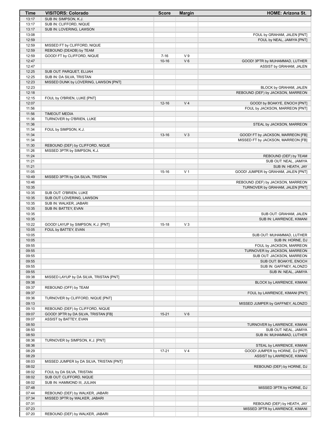| Time           | <b>VISITORS: Colorado</b>                               | <b>Score</b> | <b>Margin</b>  | <b>HOME: Arizona St.</b>                              |
|----------------|---------------------------------------------------------|--------------|----------------|-------------------------------------------------------|
| 13:17          | SUB IN: SIMPSON, K.J.                                   |              |                |                                                       |
| 13:17          | SUB IN: CLIFFORD, NIQUE                                 |              |                |                                                       |
| 13:17          | SUB IN: LOVERING, LAWSON                                |              |                |                                                       |
| 13:08          |                                                         |              |                | FOUL by GRAHAM, JALEN [PNT]                           |
| 12:59          |                                                         |              |                | FOUL by NEAL, JAMIYA [PNT]                            |
| 12:59<br>12:59 | MISSED FT by CLIFFORD, NIQUE<br>REBOUND (DEADB) by TEAM |              |                |                                                       |
| 12:59          | GOOD! FT by CLIFFORD, NIQUE                             | $7 - 16$     | V <sub>9</sub> |                                                       |
| 12:47          |                                                         | $10 - 16$    | $V_6$          | GOOD! 3PTR by MUHAMMAD, LUTHER                        |
| 12:47          |                                                         |              |                | ASSIST by GRAHAM, JALEN                               |
| 12:25          | SUB OUT: PARQUET, ELIJAH                                |              |                |                                                       |
| 12:25          | SUB IN: DA SILVA, TRISTAN                               |              |                |                                                       |
| 12:23          | MISSED DUNK by LOVERING, LAWSON [PNT]                   |              |                |                                                       |
| 12:23          |                                                         |              |                | BLOCK by GRAHAM, JALEN                                |
| 12:18          |                                                         |              |                | REBOUND (DEF) by JACKSON, MARREON                     |
| 12:15          | FOUL by O'BRIEN, LUKE [PNT]                             |              |                |                                                       |
| 12:07          |                                                         | $12 - 16$    | V <sub>4</sub> | GOOD! by BOAKYE, ENOCH [PNT]                          |
| 11:56          |                                                         |              |                | FOUL by JACKSON, MARREON [PNT]                        |
| 11:56          | <b>TIMEOUT MEDIA</b>                                    |              |                |                                                       |
| 11:36          | TURNOVER by O'BRIEN, LUKE                               |              |                |                                                       |
| 11:36          |                                                         |              |                | STEAL by JACKSON, MARREON                             |
| 11:34          | FOUL by SIMPSON, K.J.                                   |              |                |                                                       |
| 11:34          |                                                         | $13 - 16$    | V <sub>3</sub> | GOOD! FT by JACKSON, MARREON [FB]                     |
| 11:34<br>11:30 | REBOUND (DEF) by CLIFFORD, NIQUE                        |              |                | MISSED FT by JACKSON, MARREON [FB]                    |
| 11:26          | MISSED 3PTR by SIMPSON, K.J.                            |              |                |                                                       |
| 11:24          |                                                         |              |                | REBOUND (DEF) by TEAM                                 |
| 11:21          |                                                         |              |                | SUB OUT: NEAL, JAMIYA                                 |
| 11:21          |                                                         |              |                | SUB IN: HEATH, JAY                                    |
| 11:05          |                                                         | $15 - 16$    | V <sub>1</sub> | GOOD! JUMPER by GRAHAM, JALEN [PNT]                   |
| 10:49          | MISSED 3PTR by DA SILVA, TRISTAN                        |              |                |                                                       |
| 10:46          |                                                         |              |                | REBOUND (DEF) by JACKSON, MARREON                     |
| 10:35          |                                                         |              |                | TURNOVER by GRAHAM, JALEN [PNT]                       |
| 10:35          | SUB OUT: O'BRIEN, LUKE                                  |              |                |                                                       |
| 10:35          | SUB OUT: LOVERING, LAWSON                               |              |                |                                                       |
| 10:35          | SUB IN: WALKER, JABARI                                  |              |                |                                                       |
| 10:35          | SUB IN: BATTEY, EVAN                                    |              |                |                                                       |
| 10:35          |                                                         |              |                | SUB OUT: GRAHAM, JALEN                                |
| 10:35          |                                                         |              |                | SUB IN: LAWRENCE, KIMANI                              |
| 10:22          | GOOD! LAYUP by SIMPSON, K.J. [PNT]                      | $15 - 18$    | $V_3$          |                                                       |
| 10:05<br>10:05 | FOUL by BATTEY, EVAN                                    |              |                |                                                       |
| 10:05          |                                                         |              |                | SUB OUT: MUHAMMAD, LUTHER<br>SUB IN: HORNE, DJ        |
| 09:55          |                                                         |              |                | FOUL by JACKSON, MARREON                              |
| 09:55          |                                                         |              |                | TURNOVER by JACKSON, MARREON                          |
| 09:55          |                                                         |              |                | SUB OUT: JACKSON, MARREON                             |
| 09:55          |                                                         |              |                | SUB OUT: BOAKYE, ENOCH                                |
| 09:55          |                                                         |              |                | SUB IN: GAFFNEY, ALONZO                               |
| 09:55          |                                                         |              |                | SUB IN: NEAL, JAMIYA                                  |
| 09:38          | MISSED LAYUP by DA SILVA, TRISTAN [PNT]                 |              |                |                                                       |
| 09:38          |                                                         |              |                | BLOCK by LAWRENCE, KIMANI                             |
| 09:37          | REBOUND (OFF) by TEAM                                   |              |                |                                                       |
| 09:37          |                                                         |              |                | FOUL by LAWRENCE, KIMANI [PNT]                        |
| 09:36          | TURNOVER by CLIFFORD, NIQUE [PNT]                       |              |                |                                                       |
| 09:13          |                                                         |              |                | MISSED JUMPER by GAFFNEY, ALONZO                      |
| 09:10          | REBOUND (DEF) by CLIFFORD, NIQUE                        |              |                |                                                       |
| 09:07          | GOOD! 3PTR by DA SILVA, TRISTAN [FB]                    | $15 - 21$    | $V_6$          |                                                       |
| 09:07          | ASSIST by BATTEY, EVAN                                  |              |                |                                                       |
| 08:50<br>08:50 |                                                         |              |                | TURNOVER by LAWRENCE, KIMANI<br>SUB OUT: NEAL, JAMIYA |
| 08:50          |                                                         |              |                | SUB IN: MUHAMMAD, LUTHER                              |
| 08:36          | TURNOVER by SIMPSON, K.J. [PNT]                         |              |                |                                                       |
| 08:36          |                                                         |              |                | STEAL by LAWRENCE, KIMANI                             |
| 08:29          |                                                         | $17 - 21$    | V <sub>4</sub> | GOOD! JUMPER by HORNE, DJ [PNT]                       |
| 08:29          |                                                         |              |                | ASSIST by LAWRENCE, KIMANI                            |
| 08:03          | MISSED JUMPER by DA SILVA, TRISTAN [PNT]                |              |                |                                                       |
| 08:02          |                                                         |              |                | REBOUND (DEF) by HORNE, DJ                            |
| 08:02          | FOUL by DA SILVA, TRISTAN                               |              |                |                                                       |
| 08:02          | SUB OUT: CLIFFORD, NIQUE                                |              |                |                                                       |
| 08:02          | SUB IN: HAMMOND III, JULIAN                             |              |                |                                                       |
| 07:48          |                                                         |              |                | MISSED 3PTR by HORNE, DJ                              |
| 07:44          | REBOUND (DEF) by WALKER, JABARI                         |              |                |                                                       |
| 07:34          | MISSED 3PTR by WALKER, JABARI                           |              |                |                                                       |
| 07:31          |                                                         |              |                | REBOUND (DEF) by HEATH, JAY                           |
| 07:23          |                                                         |              |                | MISSED 3PTR by LAWRENCE, KIMANI                       |
| 07:20          | REBOUND (DEF) by WALKER, JABARI                         |              |                |                                                       |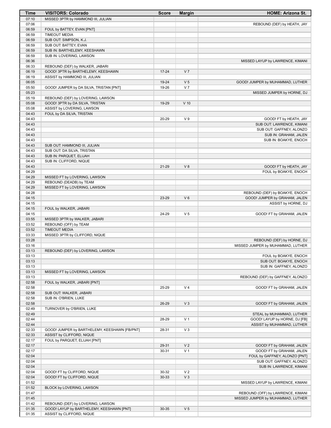| Time           | <b>VISITORS: Colorado</b>                                                      | <b>Score</b> | <b>Margin</b>  | <b>HOME: Arizona St.</b>          |
|----------------|--------------------------------------------------------------------------------|--------------|----------------|-----------------------------------|
| 07:10          | MISSED 3PTR by HAMMOND III, JULIAN                                             |              |                |                                   |
| 07:06          |                                                                                |              |                | REBOUND (DEF) by HEATH, JAY       |
| 06:59          | FOUL by BATTEY, EVAN [PNT]                                                     |              |                |                                   |
| 06:59          | <b>TIMEOUT MEDIA</b>                                                           |              |                |                                   |
| 06:59<br>06:59 | SUB OUT: SIMPSON, K.J.<br>SUB OUT: BATTEY, EVAN                                |              |                |                                   |
| 06:59          | SUB IN: BARTHELEMY, KEESHAWN                                                   |              |                |                                   |
| 06:59          | SUB IN: LOVERING, LAWSON                                                       |              |                |                                   |
| 06:36          |                                                                                |              |                | MISSED LAYUP by LAWRENCE, KIMANI  |
| 06:33          | REBOUND (DEF) by WALKER, JABARI                                                |              |                |                                   |
| 06:19          | GOOD! 3PTR by BARTHELEMY, KEESHAWN                                             | $17 - 24$    | V <sub>7</sub> |                                   |
| 06:19          | ASSIST by HAMMOND III, JULIAN                                                  |              |                |                                   |
| 06:05          |                                                                                | 19-24        | V <sub>5</sub> | GOOD! JUMPER by MUHAMMAD, LUTHER  |
| 05:50          | GOOD! JUMPER by DA SILVA, TRISTAN [PNT]                                        | 19-26        | V <sub>7</sub> |                                   |
| 05:23          |                                                                                |              |                | MISSED JUMPER by HORNE, DJ        |
| 05:19          | REBOUND (DEF) by LOVERING, LAWSON                                              |              |                |                                   |
| 05:08<br>05:08 | GOOD! 3PTR by DA SILVA, TRISTAN                                                | 19-29        | $V$ 10         |                                   |
| 04:43          | ASSIST by LOVERING, LAWSON<br>FOUL by DA SILVA, TRISTAN                        |              |                |                                   |
| 04:43          |                                                                                | 20-29        | V <sub>9</sub> | GOOD! FT by HEATH, JAY            |
| 04:43          |                                                                                |              |                | SUB OUT: LAWRENCE, KIMANI         |
| 04:43          |                                                                                |              |                | SUB OUT: GAFFNEY, ALONZO          |
| 04:43          |                                                                                |              |                | SUB IN: GRAHAM, JALEN             |
| 04:43          |                                                                                |              |                | SUB IN: BOAKYE, ENOCH             |
| 04:43          | SUB OUT: HAMMOND III, JULIAN                                                   |              |                |                                   |
| 04:43          | SUB OUT: DA SILVA, TRISTAN                                                     |              |                |                                   |
| 04:43          | SUB IN: PARQUET, ELIJAH                                                        |              |                |                                   |
| 04:43          | SUB IN: CLIFFORD, NIQUE                                                        |              |                |                                   |
| 04:43<br>04:29 |                                                                                | $21 - 29$    | V8             | GOOD! FT by HEATH, JAY            |
| 04:29          | MISSED FT by LOVERING, LAWSON                                                  |              |                | FOUL by BOAKYE, ENOCH             |
| 04:29          | REBOUND (DEADB) by TEAM                                                        |              |                |                                   |
| 04:29          | MISSED FT by LOVERING, LAWSON                                                  |              |                |                                   |
| 04:28          |                                                                                |              |                | REBOUND (DEF) by BOAKYE, ENOCH    |
| 04:15          |                                                                                | 23-29        | $V_6$          | GOOD! JUMPER by GRAHAM, JALEN     |
| 04:15          |                                                                                |              |                | ASSIST by HORNE, DJ               |
| 04:15          | FOUL by WALKER, JABARI                                                         |              |                |                                   |
| 04:15          |                                                                                | 24-29        | V <sub>5</sub> | GOOD! FT by GRAHAM, JALEN         |
| 03:55          | MISSED 3PTR by WALKER, JABARI                                                  |              |                |                                   |
| 03:52<br>03:52 | REBOUND (OFF) by TEAM                                                          |              |                |                                   |
| 03:33          | <b>TIMEOUT MEDIA</b><br>MISSED 3PTR by CLIFFORD, NIQUE                         |              |                |                                   |
| 03:28          |                                                                                |              |                | REBOUND (DEF) by HORNE, DJ        |
| 03:16          |                                                                                |              |                | MISSED JUMPER by MUHAMMAD, LUTHER |
| 03:13          | REBOUND (DEF) by LOVERING, LAWSON                                              |              |                |                                   |
| 03:13          |                                                                                |              |                | FOUL by BOAKYE, ENOCH             |
| 03:13          |                                                                                |              |                | SUB OUT: BOAKYE, ENOCH            |
| 03:13          |                                                                                |              |                | SUB IN: GAFFNEY, ALONZO           |
| 03:13          | MISSED FT by LOVERING, LAWSON                                                  |              |                |                                   |
| 03:13          |                                                                                |              |                | REBOUND (DEF) by GAFFNEY, ALONZO  |
| 02:58<br>02:58 | FOUL by WALKER, JABARI [PNT]                                                   | 25-29        | V <sub>4</sub> |                                   |
| 02:58          | SUB OUT: WALKER, JABARI                                                        |              |                | GOOD! FT by GRAHAM, JALEN         |
| 02:58          | SUB IN: O'BRIEN, LUKE                                                          |              |                |                                   |
| 02:58          |                                                                                | 26-29        | $V_3$          | GOOD! FT by GRAHAM, JALEN         |
| 02:49          | TURNOVER by O'BRIEN, LUKE                                                      |              |                |                                   |
| 02:49          |                                                                                |              |                | STEAL by MUHAMMAD, LUTHER         |
| 02:44          |                                                                                | 28-29        | V <sub>1</sub> | GOOD! LAYUP by HORNE, DJ [FB]     |
| 02:44          |                                                                                |              |                | ASSIST by MUHAMMAD, LUTHER        |
| 02:33          | GOOD! JUMPER by BARTHELEMY, KEESHAWN [FB/PNT]                                  | 28-31        | $V_3$          |                                   |
| 02:33          | ASSIST by CLIFFORD, NIQUE                                                      |              |                |                                   |
| 02:17<br>02:17 | FOUL by PARQUET, ELIJAH [PNT]                                                  | 29-31        | V <sub>2</sub> | GOOD! FT by GRAHAM, JALEN         |
| 02:17          |                                                                                | 30-31        | V <sub>1</sub> | GOOD! FT by GRAHAM, JALEN         |
| 02:04          |                                                                                |              |                | FOUL by GAFFNEY, ALONZO [PNT]     |
| 02:04          |                                                                                |              |                | SUB OUT: GAFFNEY, ALONZO          |
| 02:04          |                                                                                |              |                | SUB IN: LAWRENCE, KIMANI          |
| 02:04          | GOOD! FT by CLIFFORD, NIQUE                                                    | 30-32        | V <sub>2</sub> |                                   |
| 02:04          | GOOD! FT by CLIFFORD, NIQUE                                                    | 30-33        | $V_3$          |                                   |
| 01:52          |                                                                                |              |                | MISSED LAYUP by LAWRENCE, KIMANI  |
| 01:52          | BLOCK by LOVERING, LAWSON                                                      |              |                |                                   |
| 01:47          |                                                                                |              |                | REBOUND (OFF) by LAWRENCE, KIMANI |
| 01:45          |                                                                                |              |                | MISSED JUMPER by MUHAMMAD, LUTHER |
| 01:42<br>01:35 | REBOUND (DEF) by LOVERING, LAWSON<br>GOOD! LAYUP by BARTHELEMY, KEESHAWN [PNT] | 30-35        | V <sub>5</sub> |                                   |
| 01:35          | ASSIST by CLIFFORD, NIQUE                                                      |              |                |                                   |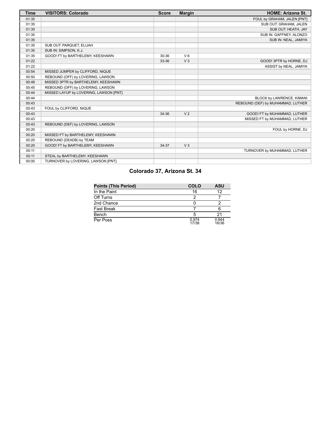| <b>Time</b> | <b>VISITORS: Colorado</b>              | <b>Score</b> | <b>Margin</b>  | <b>HOME: Arizona St.</b>          |
|-------------|----------------------------------------|--------------|----------------|-----------------------------------|
| 01:35       |                                        |              |                | FOUL by GRAHAM, JALEN [PNT]       |
| 01:35       |                                        |              |                | SUB OUT: GRAHAM, JALEN            |
| 01:35       |                                        |              |                | SUB OUT: HEATH, JAY               |
| 01:35       |                                        |              |                | SUB IN: GAFFNEY, ALONZO           |
| 01:35       |                                        |              |                | SUB IN: NEAL, JAMIYA              |
| 01:35       | SUB OUT: PARQUET, ELIJAH               |              |                |                                   |
| 01:35       | SUB IN: SIMPSON, K.J.                  |              |                |                                   |
| 01:35       | GOOD! FT by BARTHELEMY, KEESHAWN       | 30-36        | $V_6$          |                                   |
| 01:22       |                                        | 33-36        | V <sub>3</sub> | GOOD! 3PTR by HORNE, DJ           |
| 01:22       |                                        |              |                | ASSIST by NEAL, JAMIYA            |
| 00:54       | MISSED JUMPER by CLIFFORD, NIQUE       |              |                |                                   |
| 00:50       | REBOUND (OFF) by LOVERING, LAWSON      |              |                |                                   |
| 00:48       | MISSED 3PTR by BARTHELEMY, KEESHAWN    |              |                |                                   |
| 00:45       | REBOUND (OFF) by LOVERING, LAWSON      |              |                |                                   |
| 00:44       | MISSED LAYUP by LOVERING, LAWSON [PNT] |              |                |                                   |
| 00:44       |                                        |              |                | BLOCK by LAWRENCE, KIMANI         |
| 00:43       |                                        |              |                | REBOUND (DEF) by MUHAMMAD, LUTHER |
| 00:43       | FOUL by CLIFFORD, NIQUE                |              |                |                                   |
| 00:43       |                                        | 34-36        | V <sub>2</sub> | GOOD! FT by MUHAMMAD, LUTHER      |
| 00:43       |                                        |              |                | MISSED FT by MUHAMMAD, LUTHER     |
| 00:43       | REBOUND (DEF) by LOVERING, LAWSON      |              |                |                                   |
| 00:20       |                                        |              |                | FOUL by HORNE, DJ                 |
| 00:20       | MISSED FT by BARTHELEMY, KEESHAWN      |              |                |                                   |
| 00:20       | REBOUND (DEADB) by TEAM                |              |                |                                   |
| 00:20       | GOOD! FT by BARTHELEMY, KEESHAWN       | 34-37        | V <sub>3</sub> |                                   |
| 00:11       |                                        |              |                | TURNOVER by MUHAMMAD, LUTHER      |
| 00:11       | STEAL by BARTHELEMY, KEESHAWN          |              |                |                                   |
| 00:00       | TURNOVER by LOVERING, LAWSON [PNT]     |              |                |                                   |

# **Colorado 37, Arizona St. 34**

| Points (This Period) | <b>COLO</b>    | ASU            |
|----------------------|----------------|----------------|
| In the Paint         | 16             | 12             |
| Off Turns            |                |                |
| 2nd Chance           |                |                |
| Fast Break           |                |                |
| Bench                | 5              | 21             |
| Per Poss             | 0.974<br>17/38 | 0.944<br>16/36 |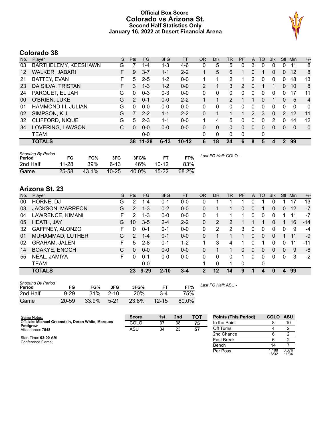### **Official Box Score Colorado vs Arizona St. Second Half Statistics Only January 16, 2022 at Desert Financial Arena**



# **Colorado 38**

| No. | Player                | S | <b>Pts</b>    | <b>FG</b> | 3FG      | <b>FT</b> | <b>OR</b> | DR | TR.            | PF | A                     | TO       | <b>B</b> lk | Stl                  | Min      | $+/-$          |
|-----|-----------------------|---|---------------|-----------|----------|-----------|-----------|----|----------------|----|-----------------------|----------|-------------|----------------------|----------|----------------|
| 03  | BARTHELEMY, KEESHAWN  | G |               | $1 - 4$   | $1 - 3$  | $4-6$     | 0         | 5  | 5              | 0  | 3                     | $\Omega$ | 0           | 0                    | 11       | 8              |
| 12  | <b>WALKER, JABARI</b> | F | 9             | $3 - 7$   | $1 - 1$  | $2 - 2$   |           | 5  | 6              |    | 0                     |          | 0           | $\mathbf{0}$         | 12       | 8              |
| 21  | <b>BATTEY, EVAN</b>   | F | 5             | 2-5       | $1 - 2$  | $0 - 0$   | 1         |    | 2              |    | 2                     | 0        | 0           | 0                    | 18       | 13             |
| 23  | DA SILVA, TRISTAN     | F | 3             | $1 - 3$   | $1 - 2$  | $0 - 0$   | 2         |    | 3              | 2  | $\Omega$              |          | 1           | $\Omega$             | 10       | 8              |
| 24  | PARQUET, ELIJAH       | G | 0             | $0 - 3$   | $0 - 3$  | $0 - 0$   | $\Omega$  | 0  | 0              | 0  | 0                     | 0        | 0           | 0                    | 17       | 11             |
| 00  | O'BRIEN, LUKE         | G | $\mathcal{P}$ | $0 - 1$   | $0 - 0$  | $2 - 2$   |           |    | $\overline{2}$ | 1  |                       | $\Omega$ | 1           | $\Omega$             | 5        | $\overline{4}$ |
| 01  | HAMMOND III, JULIAN   | G | $\Omega$      | $0 - 0$   | $0 - 0$  | $0 - 0$   | $\Omega$  | 0  | 0              | 0  | $\Omega$              | 0        | 0           | $\Omega$             | $\Omega$ | $\mathbf{0}$   |
| 02  | SIMPSON, K.J.         | G | 7             | $2 - 2$   | $1 - 1$  | $2 - 2$   | 0         |    |                |    | $\mathbf{2}^{\prime}$ | 3        | 0           | $\mathbf{2}^{\circ}$ | 12       | 11             |
| 32  | CLIFFORD, NIQUE       | G | 5             | $2 - 3$   | 1-1      | $0 - 0$   | 1         | 4  | 5              | 0  | 0                     | 0        | 2           | $\mathbf{0}$         | 14       | 12             |
| 34  | LOVERING, LAWSON      | C | 0             | $0 - 0$   | $0 - 0$  | $0 - 0$   | $\Omega$  | 0  | 0              | 0  | $\Omega$              | 0        | 0           | $\Omega$             | $\Omega$ | $\mathbf{0}$   |
|     | <b>TEAM</b>           |   |               | $0 - 0$   |          |           | $\Omega$  | 0  | 0              | 0  |                       | 0        |             |                      |          |                |
|     | <b>TOTALS</b>         |   | 38            | $11 - 28$ | $6 - 13$ | $10 - 12$ | 6         | 18 | 24             | 6  | 8                     | 5        | 4           | $\mathcal{P}$        | 99       |                |

| <b>Shooting By Period</b><br>Period | FG        | FG%   | 3FG       | 3FG%  | <b>FT</b> | FT%   | Last FG Half: COLO - |
|-------------------------------------|-----------|-------|-----------|-------|-----------|-------|----------------------|
| 2nd Half                            | $11 - 28$ | 39%   | $6-13$    | 46%   | $10-12$   | 83%   |                      |
| Game                                | 25-58     | 43.1% | $10 - 25$ | 40.0% | $15 - 22$ | 68.2% |                      |

# **Arizona St. 23**

| No. | Plaver                  | S  | <b>Pts</b>    | <b>FG</b> | 3FG      | <b>FT</b> | <b>OR</b> | DR      | TR | PF | A        | TO           | <b>Blk</b> | Stl      | Min | $+/-$ |
|-----|-------------------------|----|---------------|-----------|----------|-----------|-----------|---------|----|----|----------|--------------|------------|----------|-----|-------|
| 00  | HORNE, DJ               | G  | 2             | 1-4       | $0 - 1$  | $0-0$     | 0         |         |    |    |          |              | 0          |          | 17  | $-13$ |
| 03  | <b>JACKSON, MARREON</b> | G  | 2             | 1-3       | $0 - 2$  | $0 - 0$   | 0         |         |    | 0  | $\Omega$ |              | 0          | 0        | 12  | $-7$  |
| 04  | LAWRENCE, KIMANI        | F  | 2             | $1 - 3$   | $0 - 0$  | $0-0$     | $\Omega$  |         |    |    |          | <sup>0</sup> | 0          |          | 11  | $-7$  |
| 05  | HEATH, JAY              | G  | 10            | $3 - 5$   | $2 - 4$  | $2 - 2$   | 0         | 2       | 2  |    |          |              | 0          |          | 16  | $-14$ |
| 32  | GAFFNEY, ALONZO         | F  | 0             | $0 - 1$   | $0 - 1$  | $0-0$     | 0         | 2       | 2  | 3  | $\Omega$ | 0            | 0          | 0        | 9   | $-4$  |
| 01  | MUHAMMAD, LUTHER        | G  | $\mathcal{P}$ | $1 - 4$   | $0 - 1$  | $0 - 0$   | 0         |         |    |    | $\Omega$ | 0            | 0          |          | 11  | -9    |
| 02  | <b>GRAHAM, JALEN</b>    | F. | 5             | $2 - 8$   | $0 - 1$  | $1 - 2$   |           | 3       | 4  |    |          |              | 0          | 0        | 11  | $-11$ |
| 14  | <b>BOAKYE, ENOCH</b>    | C  | 0             | $0 - 0$   | $0 - 0$  | $0 - 0$   | 0         |         |    | 0  | $\Omega$ | 0            | 0          | 0        | 9   | -8    |
| 55  | NEAL, JAMIYA            | F  | 0             | $0 - 1$   | $0 - 0$  | $0 - 0$   | $\Omega$  | 0       | 0  |    |          | 0            | 0          | $\Omega$ | 3   | $-2$  |
|     | TEAM                    |    |               | $0 - 0$   |          |           |           | 0       | 1  | 0  |          | 0            |            |          |     |       |
|     | <b>TOTALS</b>           |    | 23            | $9 - 29$  | $2 - 10$ | $3 - 4$   | 2         | $12 \,$ | 14 | 9  |          | 4            | n          | 4        | 99  |       |

| <b>Shooting By Period</b> |          |       |          |            |           |       | Last . |
|---------------------------|----------|-------|----------|------------|-----------|-------|--------|
| Period                    | FG       | FG%   | 3FG      | 3FG%       |           | FT%   |        |
| 2nd Half                  | $9 - 29$ | 31%   | $2 - 10$ | <b>20%</b> | 3-4       | 75%   |        |
| Game                      | 20-59    | 33.9% | $5-21$   | 23.8%      | $12 - 15$ | 80.0% |        |

*Last FG Half:* ASU -

| Game Notes:                                                             | <b>Score</b> | 1st | 2 <sub>nd</sub> | TOT | <b>Points (This Period)</b> | <b>COLO</b>    | ASU            |
|-------------------------------------------------------------------------|--------------|-----|-----------------|-----|-----------------------------|----------------|----------------|
| Officials: Michael Greenstein, Deron White, Marques<br><b>Pettigrew</b> | <b>COLO</b>  | 37  | 38              | 75  | In the Paint                |                | 10             |
| Attendance: 7548                                                        | ASU          | 34  | 23              | 57  | Off Turns                   |                |                |
|                                                                         |              |     |                 |     | 2nd Chance                  |                |                |
| Start Time: 03:00 AM<br>Conference Game:                                |              |     |                 |     | <b>Fast Break</b>           |                |                |
|                                                                         |              |     |                 |     | Bench                       | 14             |                |
|                                                                         |              |     |                 |     | Per Poss                    | l.188<br>16/32 | 0.676<br>11/34 |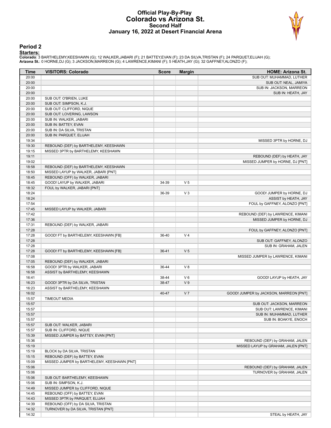#### **Official Play-By-Play Colorado vs Arizona St. Second Half January 16, 2022 at Desert Financial Arena**



#### **Period 2**

<mark>Starters:</mark><br>Colorado: 3 BARTHELEMY,KEESHAWN (G); 12 WALKER,JABARI (F); 21 BATTEY,EVAN (F); 23 DA SILVA,TRISTAN (F); 24 PARQUET,ELIJAH (G);<br>**Arizona St.**: 0 HORNE,DJ (G); 3 JACKSON,MARREON (G); 4 LAWRENCE,KIMANI (F); 5 HEAT

| Time           | <b>VISITORS: Colorado</b>                   | <b>Score</b>   | <b>Margin</b>  | <b>HOME: Arizona St.</b>               |
|----------------|---------------------------------------------|----------------|----------------|----------------------------------------|
| 20:00          |                                             |                |                | SUB OUT: MUHAMMAD, LUTHER              |
| 20:00          |                                             |                |                | SUB OUT: NEAL, JAMIYA                  |
| 20:00          |                                             |                |                | SUB IN: JACKSON, MARREON               |
| 20:00          |                                             |                |                | SUB IN: HEATH, JAY                     |
| 20:00          | SUB OUT: O'BRIEN, LUKE                      |                |                |                                        |
| 20:00          | SUB OUT: SIMPSON, K.J.                      |                |                |                                        |
| 20:00          | SUB OUT: CLIFFORD, NIQUE                    |                |                |                                        |
| 20:00          | SUB OUT: LOVERING, LAWSON                   |                |                |                                        |
| 20:00          | SUB IN: WALKER, JABARI                      |                |                |                                        |
| 20:00          | SUB IN: BATTEY, EVAN                        |                |                |                                        |
| 20:00          | SUB IN: DA SILVA, TRISTAN                   |                |                |                                        |
| 20:00          | SUB IN: PARQUET, ELIJAH                     |                |                |                                        |
| 19:34          |                                             |                |                | MISSED 3PTR by HORNE, DJ               |
| 19:30          | REBOUND (DEF) by BARTHELEMY, KEESHAWN       |                |                |                                        |
| 19:15          | MISSED 3PTR by BARTHELEMY, KEESHAWN         |                |                |                                        |
| 19:11          |                                             |                |                | REBOUND (DEF) by HEATH, JAY            |
| 19:02          |                                             |                |                | MISSED JUMPER by HORNE, DJ [PNT]       |
| 18:58          | REBOUND (DEF) by BARTHELEMY, KEESHAWN       |                |                |                                        |
| 18:50          | MISSED LAYUP by WALKER, JABARI [PNT]        |                |                |                                        |
| 18:45          | REBOUND (OFF) by WALKER, JABARI             |                |                |                                        |
| 18:45          | GOOD! LAYUP by WALKER, JABARI               | 34-39          | V <sub>5</sub> |                                        |
| 18:32          | FOUL by WALKER, JABARI [PNT]                |                |                |                                        |
| 18:24          |                                             | 36-39          | $V_3$          | GOOD! JUMPER by HORNE, DJ              |
| 18:24          |                                             |                |                | ASSIST by HEATH, JAY                   |
| 17:54          |                                             |                |                | FOUL by GAFFNEY, ALONZO [PNT]          |
| 17:45          | MISSED LAYUP by WALKER, JABARI              |                |                |                                        |
| 17:42          |                                             |                |                | REBOUND (DEF) by LAWRENCE, KIMANI      |
| 17:36          |                                             |                |                | MISSED JUMPER by HORNE, DJ             |
| 17:31          | REBOUND (DEF) by WALKER, JABARI             |                |                |                                        |
| 17:28          |                                             |                |                | FOUL by GAFFNEY, ALONZO [PNT]          |
| 17:28          | GOOD! FT by BARTHELEMY, KEESHAWN [FB]       | 36-40          | V <sub>4</sub> |                                        |
| 17:28          |                                             |                |                | SUB OUT: GAFFNEY, ALONZO               |
| 17:28          |                                             |                |                | SUB IN: GRAHAM, JALEN                  |
| 17:28          | GOOD! FT by BARTHELEMY, KEESHAWN [FB]       | 36-41          | V <sub>5</sub> |                                        |
| 17:08          |                                             |                |                | MISSED JUMPER by LAWRENCE, KIMANI      |
| 17:05          | REBOUND (DEF) by WALKER, JABARI             |                |                |                                        |
| 16:58          | GOOD! 3PTR by WALKER, JABARI                | 36-44          | V8             |                                        |
| 16:58          | ASSIST by BARTHELEMY, KEESHAWN              |                | $V_6$          |                                        |
| 16:41<br>16:23 |                                             | 38-44<br>38-47 | V <sub>9</sub> | GOOD! LAYUP by HEATH, JAY              |
| 16:23          | GOOD! 3PTR by DA SILVA, TRISTAN             |                |                |                                        |
| 16:02          | ASSIST by BARTHELEMY, KEESHAWN              | 40-47          | V <sub>7</sub> | GOOD! JUMPER by JACKSON, MARREON [PNT] |
| 15:57          | <b>TIMEOUT MEDIA</b>                        |                |                |                                        |
| 15:57          |                                             |                |                | SUB OUT: JACKSON, MARREON              |
| 15:57          |                                             |                |                | SUB OUT: LAWRENCE, KIMANI              |
| 15:57          |                                             |                |                | SUB IN: MUHAMMAD, LUTHER               |
| 15:57          |                                             |                |                | SUB IN: BOAKYE, ENOCH                  |
| 15:57          | SUB OUT: WALKER, JABARI                     |                |                |                                        |
| 15:57          | SUB IN: CLIFFORD, NIQUE                     |                |                |                                        |
| 15:39          | MISSED JUMPER by BATTEY, EVAN [PNT]         |                |                |                                        |
| 15:36          |                                             |                |                | REBOUND (DEF) by GRAHAM, JALEN         |
| 15:19          |                                             |                |                | MISSED LAYUP by GRAHAM, JALEN [PNT]    |
| 15:19          | BLOCK by DA SILVA, TRISTAN                  |                |                |                                        |
| 15:15          | REBOUND (DEF) by BATTEY, EVAN               |                |                |                                        |
| 15:09          | MISSED JUMPER by BARTHELEMY, KEESHAWN [PNT] |                |                |                                        |
| 15:06          |                                             |                |                | REBOUND (DEF) by GRAHAM, JALEN         |
| 15:06          |                                             |                |                | TURNOVER by GRAHAM, JALEN              |
| 15:06          | SUB OUT: BARTHELEMY, KEESHAWN               |                |                |                                        |
| 15:06          | SUB IN: SIMPSON, K.J.                       |                |                |                                        |
| 14:49          | MISSED JUMPER by CLIFFORD, NIQUE            |                |                |                                        |
| 14:45          | REBOUND (OFF) by BATTEY, EVAN               |                |                |                                        |
| 14:43          | MISSED 3PTR by PARQUET, ELIJAH              |                |                |                                        |
| 14:39          | REBOUND (OFF) by DA SILVA, TRISTAN          |                |                |                                        |
| 14:32          | TURNOVER by DA SILVA, TRISTAN [PNT]         |                |                |                                        |
| 14:32          |                                             |                |                | STEAL by HEATH, JAY                    |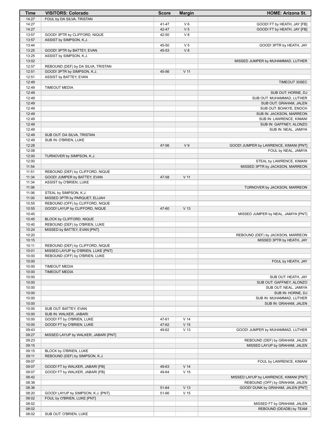| Time           | <b>VISITORS: Colorado</b>                                          | <b>Score</b> | <b>Margin</b>             | <b>HOME: Arizona St.</b>                        |
|----------------|--------------------------------------------------------------------|--------------|---------------------------|-------------------------------------------------|
| 14:27          | FOUL by DA SILVA, TRISTAN                                          |              |                           |                                                 |
| 14:27          |                                                                    | 41-47        | $V_6$                     | GOOD! FT by HEATH, JAY [FB]                     |
| 14:27          |                                                                    | 42-47        | V <sub>5</sub>            | GOOD! FT by HEATH, JAY [FB]                     |
| 13:57<br>13:57 | GOOD! 3PTR by CLIFFORD, NIQUE<br>ASSIST by SIMPSON, K.J.           | 42-50        | V8                        |                                                 |
| 13:44          |                                                                    | 45-50        | V <sub>5</sub>            | GOOD! 3PTR by HEATH, JAY                        |
| 13:25          | GOOD! 3PTR by BATTEY, EVAN                                         | 45-53        | V8                        |                                                 |
| 13:25          | ASSIST by SIMPSON, K.J.                                            |              |                           |                                                 |
| 13:02          |                                                                    |              |                           | MISSED JUMPER by MUHAMMAD, LUTHER               |
| 12:57          | REBOUND (DEF) by DA SILVA, TRISTAN                                 |              |                           |                                                 |
| 12:51          | GOOD! 3PTR by SIMPSON, K.J.                                        | 45-56        | V <sub>11</sub>           |                                                 |
| 12:51          | ASSIST by BATTEY, EVAN                                             |              |                           |                                                 |
| 12:49          |                                                                    |              |                           | TIMEOUT 30SEC                                   |
| 12:49          | <b>TIMEOUT MEDIA</b>                                               |              |                           |                                                 |
| 12:49<br>12:49 |                                                                    |              |                           | SUB OUT: HORNE, DJ<br>SUB OUT: MUHAMMAD, LUTHER |
| 12:49          |                                                                    |              |                           | SUB OUT: GRAHAM, JALEN                          |
| 12:49          |                                                                    |              |                           | SUB OUT: BOAKYE, ENOCH                          |
| 12:49          |                                                                    |              |                           | SUB IN: JACKSON, MARREON                        |
| 12:49          |                                                                    |              |                           | SUB IN: LAWRENCE, KIMANI                        |
| 12:49          |                                                                    |              |                           | SUB IN: GAFFNEY, ALONZO                         |
| 12:49          |                                                                    |              |                           | SUB IN: NEAL, JAMIYA                            |
| 12:49          | SUB OUT: DA SILVA, TRISTAN                                         |              |                           |                                                 |
| 12:49          | SUB IN: O'BRIEN, LUKE                                              |              |                           |                                                 |
| 12:28          |                                                                    | 47-56        | V <sub>9</sub>            | GOOD! JUMPER by LAWRENCE, KIMANI [PNT]          |
| 12:08<br>12:00 | TURNOVER by SIMPSON, K.J.                                          |              |                           | FOUL by NEAL, JAMIYA                            |
| 12:00          |                                                                    |              |                           | STEAL by LAWRENCE, KIMANI                       |
| 11:54          |                                                                    |              |                           | MISSED 3PTR by JACKSON, MARREON                 |
| 11:51          | REBOUND (DEF) by CLIFFORD, NIQUE                                   |              |                           |                                                 |
| 11:34          | GOOD! JUMPER by BATTEY, EVAN                                       | 47-58        | $V$ 11                    |                                                 |
| 11:34          | ASSIST by O'BRIEN, LUKE                                            |              |                           |                                                 |
| 11:06          |                                                                    |              |                           | TURNOVER by JACKSON, MARREON                    |
| 11:06          | STEAL by SIMPSON, K.J.                                             |              |                           |                                                 |
| 11:00          | MISSED 3PTR by PARQUET, ELIJAH                                     |              |                           |                                                 |
| 10:55<br>10:55 | REBOUND (OFF) by CLIFFORD, NIQUE<br>GOOD! LAYUP by CLIFFORD, NIQUE | 47-60        | V <sub>13</sub>           |                                                 |
| 10:45          |                                                                    |              |                           | MISSED JUMPER by NEAL, JAMIYA [PNT]             |
| 10:45          | BLOCK by CLIFFORD, NIQUE                                           |              |                           |                                                 |
| 10:40          | REBOUND (DEF) by O'BRIEN, LUKE                                     |              |                           |                                                 |
| 10:24          | MISSED by BATTEY, EVAN [PNT]                                       |              |                           |                                                 |
| 10:20          |                                                                    |              |                           | REBOUND (DEF) by JACKSON, MARREON               |
| 10:15          |                                                                    |              |                           | MISSED 3PTR by HEATH, JAY                       |
| 10:11          | REBOUND (DEF) by CLIFFORD, NIQUE                                   |              |                           |                                                 |
| 10:01          | MISSED LAYUP by O'BRIEN, LUKE [PNT]                                |              |                           |                                                 |
| 10:00<br>10:00 | REBOUND (OFF) by O'BRIEN, LUKE                                     |              |                           | FOUL by HEATH, JAY                              |
| 10:00          | <b>TIMEOUT MEDIA</b>                                               |              |                           |                                                 |
| 10:00          | <b>TIMEOUT MEDIA</b>                                               |              |                           |                                                 |
| 10:00          |                                                                    |              |                           | SUB OUT: HEATH, JAY                             |
| 10:00          |                                                                    |              |                           | SUB OUT: GAFFNEY, ALONZO                        |
| 10:00          |                                                                    |              |                           | SUB OUT: NEAL, JAMIYA                           |
| 10:00          |                                                                    |              |                           | SUB IN: HORNE, DJ                               |
| 10:00          |                                                                    |              |                           | SUB IN: MUHAMMAD, LUTHER                        |
| 10:00          |                                                                    |              |                           | SUB IN: GRAHAM, JALEN                           |
| 10:00<br>10:00 | SUB OUT: BATTEY, EVAN<br>SUB IN: WALKER, JABARI                    |              |                           |                                                 |
| 10:00          | GOOD! FT by O'BRIEN, LUKE                                          | 47-61        | V <sub>14</sub>           |                                                 |
| 10:00          | GOOD! FT by O'BRIEN, LUKE                                          | 47-62        | V <sub>15</sub>           |                                                 |
| 09:43          |                                                                    | 49-62        | V <sub>13</sub>           | GOOD! JUMPER by MUHAMMAD, LUTHER                |
| 09:27          | MISSED LAYUP by WALKER, JABARI [PNT]                               |              |                           |                                                 |
| 09:23          |                                                                    |              |                           | REBOUND (DEF) by GRAHAM, JALEN                  |
| 09:15          |                                                                    |              |                           | MISSED LAYUP by GRAHAM, JALEN                   |
| 09:15          | BLOCK by O'BRIEN, LUKE                                             |              |                           |                                                 |
| 09:11          | REBOUND (DEF) by SIMPSON, K.J.                                     |              |                           |                                                 |
| 09:07          |                                                                    |              |                           | FOUL by LAWRENCE, KIMANI                        |
| 09:07          | GOOD! FT by WALKER, JABARI [FB]                                    | 49-63        | V <sub>14</sub><br>$V$ 15 |                                                 |
| 09:07<br>08:42 | GOOD! FT by WALKER, JABARI [FB]                                    | 49-64        |                           | MISSED LAYUP by LAWRENCE, KIMANI [PNT]          |
| 08:38          |                                                                    |              |                           | REBOUND (OFF) by GRAHAM, JALEN                  |
| 08:36          |                                                                    | 51-64        | V <sub>13</sub>           | GOOD! DUNK by GRAHAM, JALEN [PNT]               |
| 08:20          | GOOD! LAYUP by SIMPSON, K.J. [PNT]                                 | 51-66        | V <sub>15</sub>           |                                                 |
| 08:02          | FOUL by O'BRIEN, LUKE [PNT]                                        |              |                           |                                                 |
| 08:02          |                                                                    |              |                           | MISSED FT by GRAHAM, JALEN                      |
| 08:02          |                                                                    |              |                           | REBOUND (DEADB) by TEAM                         |
| 08:02          | SUB OUT: O'BRIEN, LUKE                                             |              |                           |                                                 |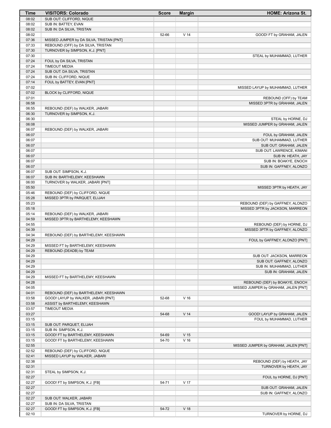| Time           | <b>VISITORS: Colorado</b>                | <b>Score</b> | <b>Margin</b>   | <b>HOME: Arizona St.</b>                              |
|----------------|------------------------------------------|--------------|-----------------|-------------------------------------------------------|
| 08:02          | SUB OUT: CLIFFORD, NIQUE                 |              |                 |                                                       |
| 08:02          | SUB IN: BATTEY, EVAN                     |              |                 |                                                       |
| 08:02          | SUB IN: DA SILVA, TRISTAN                |              |                 |                                                       |
| 08:02          |                                          | 52-66        | V <sub>14</sub> | GOOD! FT by GRAHAM, JALEN                             |
| 07:36          | MISSED JUMPER by DA SILVA, TRISTAN [PNT] |              |                 |                                                       |
| 07:33          | REBOUND (OFF) by DA SILVA, TRISTAN       |              |                 |                                                       |
| 07:30          | TURNOVER by SIMPSON, K.J. [PNT]          |              |                 |                                                       |
| 07:30          |                                          |              |                 | STEAL by MUHAMMAD, LUTHER                             |
| 07:24          | FOUL by DA SILVA, TRISTAN                |              |                 |                                                       |
| 07:24          | <b>TIMEOUT MEDIA</b>                     |              |                 |                                                       |
| 07:24          | SUB OUT: DA SILVA, TRISTAN               |              |                 |                                                       |
| 07:24          | SUB IN: CLIFFORD, NIQUE                  |              |                 |                                                       |
| 07:14          | FOUL by BATTEY, EVAN [PNT]               |              |                 |                                                       |
| 07:02          |                                          |              |                 | MISSED LAYUP by MUHAMMAD, LUTHER                      |
| 07:02          | BLOCK by CLIFFORD, NIQUE                 |              |                 |                                                       |
| 07:01          |                                          |              |                 | REBOUND (OFF) by TEAM                                 |
| 06:58          |                                          |              |                 | MISSED 3PTR by GRAHAM, JALEN                          |
| 06:55<br>06:30 | REBOUND (DEF) by WALKER, JABARI          |              |                 |                                                       |
| 06:30          | TURNOVER by SIMPSON, K.J.                |              |                 |                                                       |
| 06:08          |                                          |              |                 | STEAL by HORNE, DJ<br>MISSED JUMPER by GRAHAM, JALEN  |
| 06:07          |                                          |              |                 |                                                       |
| 06:07          | REBOUND (DEF) by WALKER, JABARI          |              |                 | FOUL by GRAHAM, JALEN                                 |
| 06:07          |                                          |              |                 | SUB OUT: MUHAMMAD, LUTHER                             |
| 06:07          |                                          |              |                 | SUB OUT: GRAHAM, JALEN                                |
| 06:07          |                                          |              |                 | SUB OUT: LAWRENCE, KIMANI                             |
| 06:07          |                                          |              |                 | SUB IN: HEATH, JAY                                    |
| 06:07          |                                          |              |                 | SUB IN: BOAKYE, ENOCH                                 |
| 06:07          |                                          |              |                 | SUB IN: GAFFNEY, ALONZO                               |
| 06:07          | SUB OUT: SIMPSON, K.J.                   |              |                 |                                                       |
| 06:07          | SUB IN: BARTHELEMY, KEESHAWN             |              |                 |                                                       |
| 06:00          | TURNOVER by WALKER, JABARI [PNT]         |              |                 |                                                       |
| 05:50          |                                          |              |                 | MISSED 3PTR by HEATH, JAY                             |
| 05:46          | REBOUND (DEF) by CLIFFORD, NIQUE         |              |                 |                                                       |
| 05:28          | MISSED 3PTR by PARQUET, ELIJAH           |              |                 |                                                       |
| 05:23          |                                          |              |                 | REBOUND (DEF) by GAFFNEY, ALONZO                      |
| 05:18          |                                          |              |                 | MISSED 3PTR by JACKSON, MARREON                       |
| 05:14          | REBOUND (DEF) by WALKER, JABARI          |              |                 |                                                       |
| 04:59          | MISSED 3PTR by BARTHELEMY, KEESHAWN      |              |                 |                                                       |
| 04:55          |                                          |              |                 | REBOUND (DEF) by HORNE, DJ                            |
| 04:39          |                                          |              |                 | MISSED 3PTR by GAFFNEY, ALONZO                        |
| 04:34          | REBOUND (DEF) by BARTHELEMY, KEESHAWN    |              |                 |                                                       |
| 04:29          |                                          |              |                 | FOUL by GAFFNEY, ALONZO [PNT]                         |
| 04:29          | MISSED FT by BARTHELEMY, KEESHAWN        |              |                 |                                                       |
| 04:29          | REBOUND (DEADB) by TEAM                  |              |                 |                                                       |
| 04:29          |                                          |              |                 | SUB OUT: JACKSON, MARREON                             |
| 04:29          |                                          |              |                 | SUB OUT: GAFFNEY, ALONZO                              |
| 04:29          |                                          |              |                 | SUB IN: MUHAMMAD, LUTHER                              |
| 04:29          |                                          |              |                 | SUB IN: GRAHAM, JALEN                                 |
| 04:29          | MISSED FT by BARTHELEMY, KEESHAWN        |              |                 |                                                       |
| 04:28          |                                          |              |                 | REBOUND (DEF) by BOAKYE, ENOCH                        |
| 04:05          |                                          |              |                 | MISSED JUMPER by GRAHAM, JALEN [PNT]                  |
| 04:01          | REBOUND (DEF) by BARTHELEMY, KEESHAWN    |              |                 |                                                       |
| 03:58          | GOOD! LAYUP by WALKER, JABARI [PNT]      | 52-68        | V <sub>16</sub> |                                                       |
| 03:58          | ASSIST by BARTHELEMY, KEESHAWN           |              |                 |                                                       |
| 03:57          | <b>TIMEOUT MEDIA</b>                     |              |                 |                                                       |
| 03:27          |                                          | 54-68        | V <sub>14</sub> | GOOD! LAYUP by GRAHAM, JALEN                          |
| 03:15          |                                          |              |                 | FOUL by MUHAMMAD, LUTHER                              |
| 03:15          | SUB OUT: PARQUET, ELIJAH                 |              |                 |                                                       |
| 03:15          | SUB IN: SIMPSON, K.J.                    |              |                 |                                                       |
| 03:15          | GOOD! FT by BARTHELEMY, KEESHAWN         | 54-69        | V <sub>15</sub> |                                                       |
| 03:15          | GOOD! FT by BARTHELEMY, KEESHAWN         | 54-70        | V <sub>16</sub> |                                                       |
| 02:55          |                                          |              |                 | MISSED JUMPER by GRAHAM, JALEN [PNT]                  |
| 02:52          | REBOUND (DEF) by CLIFFORD, NIQUE         |              |                 |                                                       |
| 02:41          | MISSED LAYUP by WALKER, JABARI           |              |                 |                                                       |
| 02:38<br>02:31 |                                          |              |                 | REBOUND (DEF) by HEATH, JAY<br>TURNOVER by HEATH, JAY |
| 02:31          | STEAL by SIMPSON, K.J.                   |              |                 |                                                       |
| 02:27          |                                          |              |                 | FOUL by HORNE, DJ [PNT]                               |
| 02:27          | GOOD! FT by SIMPSON, K.J. [FB]           | 54-71        | V 17            |                                                       |
| 02:27          |                                          |              |                 | SUB OUT: GRAHAM, JALEN                                |
| 02:27          |                                          |              |                 | SUB IN: GAFFNEY, ALONZO                               |
| 02:27          | SUB OUT: WALKER, JABARI                  |              |                 |                                                       |
| 02:27          | SUB IN: DA SILVA, TRISTAN                |              |                 |                                                       |
| 02:27          | GOOD! FT by SIMPSON, K.J. [FB]           | 54-72        | V <sub>18</sub> |                                                       |
| 02:10          |                                          |              |                 | TURNOVER by HORNE, DJ                                 |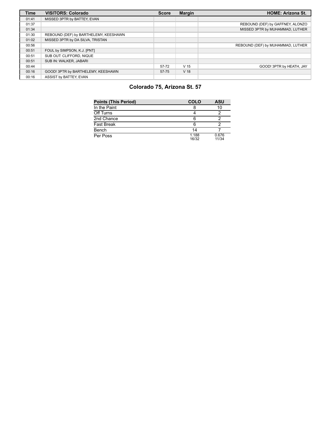| <b>Time</b> | <b>VISITORS: Colorado</b>             | <b>Score</b> | <b>Margin</b>   | <b>HOME: Arizona St.</b>          |
|-------------|---------------------------------------|--------------|-----------------|-----------------------------------|
| 01:41       | MISSED 3PTR by BATTEY, EVAN           |              |                 |                                   |
| 01:37       |                                       |              |                 | REBOUND (DEF) by GAFFNEY, ALONZO  |
| 01:34       |                                       |              |                 | MISSED 3PTR by MUHAMMAD, LUTHER   |
| 01:30       | REBOUND (DEF) by BARTHELEMY, KEESHAWN |              |                 |                                   |
| 01:02       | MISSED 3PTR by DA SILVA, TRISTAN      |              |                 |                                   |
| 00:56       |                                       |              |                 | REBOUND (DEF) by MUHAMMAD, LUTHER |
| 00:51       | FOUL by SIMPSON, K.J. [PNT]           |              |                 |                                   |
| 00:51       | SUB OUT: CLIFFORD, NIQUE              |              |                 |                                   |
| 00:51       | SUB IN: WALKER, JABARI                |              |                 |                                   |
| 00:44       |                                       | 57-72        | V <sub>15</sub> | GOOD! 3PTR by HEATH, JAY          |
| 00:16       | GOOD! 3PTR by BARTHELEMY, KEESHAWN    | 57-75        | V <sub>18</sub> |                                   |
| 00:16       | ASSIST by BATTEY, EVAN                |              |                 |                                   |

# **Colorado 75, Arizona St. 57**

| <b>Points (This Period)</b> | COLO           | ASU            |
|-----------------------------|----------------|----------------|
| In the Paint                |                | 10             |
| Off Turns                   |                |                |
| 2nd Chance                  |                |                |
| <b>Fast Break</b>           | 6              |                |
| Bench                       | 14             |                |
| Per Poss                    | 1.188<br>16/32 | 0.676<br>11/34 |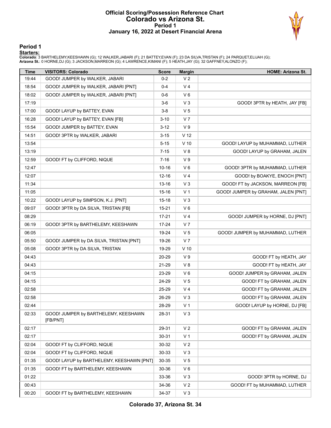#### **Official Scoring/Possession Reference Chart Colorado vs Arizona St. Period 1 January 16, 2022 at Desert Financial Arena**



**Period 1**

<mark>Starters:</mark><br>Colorado: 3 BARTHELEMY,KEESHAWN (G); 12 WALKER,JABARI (F); 21 BATTEY,EVAN (F); 23 DA SILVA,TRISTAN (F); 24 PARQUET,ELIJAH (G);<br>**Arizona St.**: 0 HORNE,DJ (G); 3 JACKSON,MARREON (G); 4 LAWRENCE,KIMANI (F); 5 HEAT

| <b>Time</b> | <b>VISITORS: Colorado</b>                        | <b>Score</b> | <b>Margin</b>   | <b>HOME: Arizona St.</b>            |
|-------------|--------------------------------------------------|--------------|-----------------|-------------------------------------|
| 19:44       | GOOD! JUMPER by WALKER, JABARI                   | $0 - 2$      | V <sub>2</sub>  |                                     |
| 18:54       | GOOD! JUMPER by WALKER, JABARI [PNT]             | $0 - 4$      | V <sub>4</sub>  |                                     |
| 18:02       | GOOD! JUMPER by WALKER, JABARI [PNT]             | $0-6$        | $V_6$           |                                     |
| 17:19       |                                                  | $3-6$        | $V_3$           | GOOD! 3PTR by HEATH, JAY [FB]       |
| 17:00       | GOOD! LAYUP by BATTEY, EVAN                      | $3-8$        | V <sub>5</sub>  |                                     |
| 16:28       | GOOD! LAYUP by BATTEY, EVAN [FB]                 | $3 - 10$     | V <sub>7</sub>  |                                     |
| 15:54       | GOOD! JUMPER by BATTEY, EVAN                     | $3 - 12$     | V <sub>9</sub>  |                                     |
| 14:51       | GOOD! 3PTR by WALKER, JABARI                     | $3 - 15$     | V <sub>12</sub> |                                     |
| 13:54       |                                                  | $5 - 15$     | $V$ 10          | GOOD! LAYUP by MUHAMMAD, LUTHER     |
| 13:19       |                                                  | $7 - 15$     | V8              | GOOD! LAYUP by GRAHAM, JALEN        |
| 12:59       | GOOD! FT by CLIFFORD, NIQUE                      | $7 - 16$     | V <sub>9</sub>  |                                     |
| 12:47       |                                                  | $10 - 16$    | $V_6$           | GOOD! 3PTR by MUHAMMAD, LUTHER      |
| 12:07       |                                                  | $12 - 16$    | V <sub>4</sub>  | GOOD! by BOAKYE, ENOCH [PNT]        |
| 11:34       |                                                  | $13 - 16$    | $V_3$           | GOOD! FT by JACKSON, MARREON [FB]   |
| 11:05       |                                                  | $15 - 16$    | V <sub>1</sub>  | GOOD! JUMPER by GRAHAM, JALEN [PNT] |
| 10:22       | GOOD! LAYUP by SIMPSON, K.J. [PNT]               | $15 - 18$    | $V_3$           |                                     |
| 09:07       | GOOD! 3PTR by DA SILVA, TRISTAN [FB]             | $15 - 21$    | $V_6$           |                                     |
| 08:29       |                                                  | $17 - 21$    | V <sub>4</sub>  | GOOD! JUMPER by HORNE, DJ [PNT]     |
| 06:19       | GOOD! 3PTR by BARTHELEMY, KEESHAWN               | 17-24        | V <sub>7</sub>  |                                     |
| 06:05       |                                                  | 19-24        | V <sub>5</sub>  | GOOD! JUMPER by MUHAMMAD, LUTHER    |
| 05:50       | GOOD! JUMPER by DA SILVA, TRISTAN [PNT]          | 19-26        | V <sub>7</sub>  |                                     |
| 05:08       | GOOD! 3PTR by DA SILVA, TRISTAN                  | 19-29        | $V$ 10          |                                     |
| 04:43       |                                                  | 20-29        | V <sub>9</sub>  | GOOD! FT by HEATH, JAY              |
| 04:43       |                                                  | 21-29        | V8              | GOOD! FT by HEATH, JAY              |
| 04:15       |                                                  | 23-29        | $V_6$           | GOOD! JUMPER by GRAHAM, JALEN       |
| 04:15       |                                                  | 24-29        | V <sub>5</sub>  | GOOD! FT by GRAHAM, JALEN           |
| 02:58       |                                                  | 25-29        | V <sub>4</sub>  | GOOD! FT by GRAHAM, JALEN           |
| 02:58       |                                                  | 26-29        | $V_3$           | GOOD! FT by GRAHAM, JALEN           |
| 02:44       |                                                  | 28-29        | V <sub>1</sub>  | GOOD! LAYUP by HORNE, DJ [FB]       |
| 02:33       | GOOD! JUMPER by BARTHELEMY, KEESHAWN<br>[FB/PNT] | 28-31        | $V_3$           |                                     |
| 02:17       |                                                  | 29-31        | V <sub>2</sub>  | GOOD! FT by GRAHAM, JALEN           |
| 02:17       |                                                  | $30 - 31$    | V <sub>1</sub>  | GOOD! FT by GRAHAM, JALEN           |
| 02:04       | GOOD! FT by CLIFFORD, NIQUE                      | 30-32        | V <sub>2</sub>  |                                     |
| 02:04       | GOOD! FT by CLIFFORD, NIQUE                      | 30-33        | $V_3$           |                                     |
| 01:35       | GOOD! LAYUP by BARTHELEMY, KEESHAWN [PNT]        | 30-35        | V <sub>5</sub>  |                                     |
| 01:35       | GOOD! FT by BARTHELEMY, KEESHAWN                 | 30-36        | $V_6$           |                                     |
| 01:22       |                                                  | 33-36        | $V_3$           | GOOD! 3PTR by HORNE, DJ             |
| 00:43       |                                                  | 34-36        | V <sub>2</sub>  | GOOD! FT by MUHAMMAD, LUTHER        |
| 00:20       | GOOD! FT by BARTHELEMY, KEESHAWN                 | 34-37        | $V_3$           |                                     |

**Colorado 37, Arizona St. 34**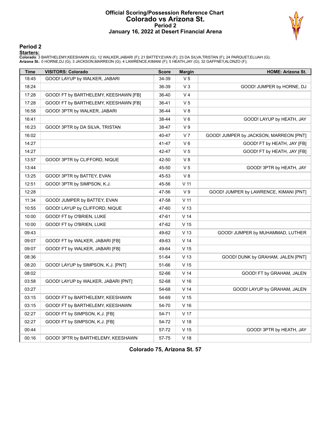#### **Official Scoring/Possession Reference Chart Colorado vs Arizona St. Period 2 January 16, 2022 at Desert Financial Arena**



#### **Period 2**

<mark>Starters:</mark><br>Colorado: 3 BARTHELEMY,KEESHAWN (G); 12 WALKER,JABARI (F); 21 BATTEY,EVAN (F); 23 DA SILVA,TRISTAN (F); 24 PARQUET,ELIJAH (G);<br>**Arizona St.**: 0 HORNE,DJ (G); 3 JACKSON,MARREON (G); 4 LAWRENCE,KIMANI (F); 5 HEAT

| <b>Time</b> | <b>VISITORS: Colorado</b>             | <b>Score</b> | <b>Margin</b>   | HOME: Arizona St.                      |
|-------------|---------------------------------------|--------------|-----------------|----------------------------------------|
| 18:45       | GOOD! LAYUP by WALKER, JABARI         | 34-39        | V5              |                                        |
| 18:24       |                                       | 36-39        | $V_3$           | GOOD! JUMPER by HORNE, DJ              |
| 17:28       | GOOD! FT by BARTHELEMY, KEESHAWN [FB] | 36-40        | V <sub>4</sub>  |                                        |
| 17:28       | GOOD! FT by BARTHELEMY, KEESHAWN [FB] | 36-41        | V <sub>5</sub>  |                                        |
| 16:58       | GOOD! 3PTR by WALKER, JABARI          | 36-44        | V8              |                                        |
| 16:41       |                                       | 38-44        | $V_6$           | GOOD! LAYUP by HEATH, JAY              |
| 16:23       | GOOD! 3PTR by DA SILVA, TRISTAN       | 38-47        | V <sub>9</sub>  |                                        |
| 16:02       |                                       | 40-47        | V <sub>7</sub>  | GOOD! JUMPER by JACKSON, MARREON [PNT] |
| 14:27       |                                       | 41-47        | $V_6$           | GOOD! FT by HEATH, JAY [FB]            |
| 14:27       |                                       | 42-47        | V <sub>5</sub>  | GOOD! FT by HEATH, JAY [FB]            |
| 13:57       | GOOD! 3PTR by CLIFFORD, NIQUE         | 42-50        | V8              |                                        |
| 13:44       |                                       | 45-50        | V <sub>5</sub>  | GOOD! 3PTR by HEATH, JAY               |
| 13:25       | GOOD! 3PTR by BATTEY, EVAN            | 45-53        | V8              |                                        |
| 12:51       | GOOD! 3PTR by SIMPSON, K.J.           | 45-56        | V <sub>11</sub> |                                        |
| 12:28       |                                       | 47-56        | V <sub>9</sub>  | GOOD! JUMPER by LAWRENCE, KIMANI [PNT] |
| 11:34       | GOOD! JUMPER by BATTEY, EVAN          | 47-58        | V <sub>11</sub> |                                        |
| 10:55       | GOOD! LAYUP by CLIFFORD, NIQUE        | 47-60        | V <sub>13</sub> |                                        |
| 10:00       | GOOD! FT by O'BRIEN, LUKE             | 47-61        | V <sub>14</sub> |                                        |
| 10:00       | GOOD! FT by O'BRIEN, LUKE             | 47-62        | V <sub>15</sub> |                                        |
| 09:43       |                                       | 49-62        | V <sub>13</sub> | GOOD! JUMPER by MUHAMMAD, LUTHER       |
| 09:07       | GOOD! FT by WALKER, JABARI [FB]       | 49-63        | V <sub>14</sub> |                                        |
| 09:07       | GOOD! FT by WALKER, JABARI [FB]       | 49-64        | V <sub>15</sub> |                                        |
| 08:36       |                                       | 51-64        | V <sub>13</sub> | GOOD! DUNK by GRAHAM, JALEN [PNT]      |
| 08:20       | GOOD! LAYUP by SIMPSON, K.J. [PNT]    | 51-66        | V <sub>15</sub> |                                        |
| 08:02       |                                       | 52-66        | V <sub>14</sub> | GOOD! FT by GRAHAM, JALEN              |
| 03:58       | GOOD! LAYUP by WALKER, JABARI [PNT]   | 52-68        | V <sub>16</sub> |                                        |
| 03:27       |                                       | 54-68        | V <sub>14</sub> | GOOD! LAYUP by GRAHAM, JALEN           |
| 03:15       | GOOD! FT by BARTHELEMY, KEESHAWN      | 54-69        | V <sub>15</sub> |                                        |
| 03:15       | GOOD! FT by BARTHELEMY, KEESHAWN      | 54-70        | V <sub>16</sub> |                                        |
| 02:27       | GOOD! FT by SIMPSON, K.J. [FB]        | 54-71        | V 17            |                                        |
| 02:27       | GOOD! FT by SIMPSON, K.J. [FB]        | 54-72        | V <sub>18</sub> |                                        |
| 00:44       |                                       | 57-72        | V <sub>15</sub> | GOOD! 3PTR by HEATH, JAY               |
| 00:16       | GOOD! 3PTR by BARTHELEMY, KEESHAWN    | 57-75        | V <sub>18</sub> |                                        |

**Colorado 75, Arizona St. 57**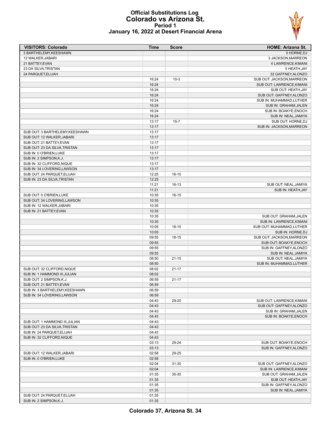#### **Official Substitutions Log Colorado vs Arizona St. Period 1 January 16, 2022 at Desert Financial Arena**

| <b>VISITORS: Colorado</b>       | Time  | <b>Score</b> | <b>HOME: Arizona St.</b>  |
|---------------------------------|-------|--------------|---------------------------|
| 3 BARTHELEMY, KEESHAWN          |       |              | 0 HORNE, DJ               |
| 12 WALKER, JABARI               |       |              | 3 JACKSON, MARREON        |
| 21 BATTEY, EVAN                 |       |              | 4 LAWRENCE, KIMANI        |
| 23 DA SILVA, TRISTAN            |       |              | 5 HEATH, JAY              |
| 24 PARQUET, ELIJAH              |       |              | 32 GAFFNEY, ALONZO        |
|                                 | 16:24 | $10-3$       | SUB OUT: JACKSON, MARREON |
|                                 | 16:24 |              | SUB OUT: LAWRENCE, KIMANI |
|                                 | 16:24 |              | SUB OUT: HEATH, JAY       |
|                                 | 16:24 |              | SUB OUT: GAFFNEY, ALONZO  |
|                                 | 16:24 |              | SUB IN: MUHAMMAD, LUTHER  |
|                                 | 16:24 |              | SUB IN: GRAHAM, JALEN     |
|                                 | 16:24 |              | SUB IN: BOAKYE, ENOCH     |
|                                 | 16:24 |              | SUB IN: NEAL, JAMIYA      |
|                                 | 13:17 | $15 - 7$     | SUB OUT: HORNE, DJ        |
|                                 | 13:17 |              | SUB IN: JACKSON, MARREON  |
| SUB OUT: 3 BARTHELEMY, KEESHAWN | 13:17 |              |                           |
| SUB OUT: 12 WALKER, JABARI      | 13:17 |              |                           |
| SUB OUT: 21 BATTEY, EVAN        | 13:17 |              |                           |
| SUB OUT: 23 DA SILVA, TRISTAN   | 13:17 |              |                           |
|                                 |       |              |                           |
| SUB IN: 0 O'BRIEN, LUKE         | 13:17 |              |                           |
| SUB IN: 2 SIMPSON, K.J.         | 13:17 |              |                           |
| SUB IN: 32 CLIFFORD, NIQUE      | 13:17 |              |                           |
| SUB IN: 34 LOVERING, LAWSON     | 13:17 |              |                           |
| SUB OUT: 24 PARQUET, ELIJAH     | 12:25 | $16-10$      |                           |
| SUB IN: 23 DA SILVA, TRISTAN    | 12:25 |              |                           |
|                                 | 11:21 | $16-13$      | SUB OUT: NEAL, JAMIYA     |
|                                 | 11:21 |              | SUB IN: HEATH, JAY        |
| SUB OUT: 0 O'BRIEN, LUKE        | 10:35 | 16-15        |                           |
| SUB OUT: 34 LOVERING, LAWSON    | 10:35 |              |                           |
| SUB IN: 12 WALKER, JABARI       | 10:35 |              |                           |
| SUB IN: 21 BATTEY, EVAN         | 10:35 |              |                           |
|                                 | 10:35 |              | SUB OUT: GRAHAM, JALEN    |
|                                 | 10:35 |              | SUB IN: LAWRENCE, KIMANI  |
|                                 | 10:05 | $18 - 15$    | SUB OUT: MUHAMMAD, LUTHER |
|                                 | 10:05 |              | SUB IN: HORNE, DJ         |
|                                 | 09:55 | 18-15        | SUB OUT: JACKSON, MARREON |
|                                 | 09:55 |              | SUB OUT: BOAKYE, ENOCH    |
|                                 | 09:55 |              | SUB IN: GAFFNEY, ALONZO   |
|                                 | 09:55 |              | SUB IN: NEAL, JAMIYA      |
|                                 | 08:50 | $21 - 15$    | SUB OUT: NEAL, JAMIYA     |
|                                 | 08:50 |              | SUB IN: MUHAMMAD, LUTHER  |
| SUB OUT: 32 CLIFFORD, NIQUE     | 08:02 | $21 - 17$    |                           |
| SUB IN: 1 HAMMOND III, JULIAN   | 08:02 |              |                           |
| SUB OUT: 2 SIMPSON, K.J.        | 06:59 | 21-17        |                           |
| SUB OUT: 21 BATTEY.EVAN         | 06:59 |              |                           |
| SUB IN: 3 BARTHELEMY, KEESHAWN  | 06:59 |              |                           |
| SUB IN: 34 LOVERING, LAWSON     | 06:59 |              |                           |
|                                 | 04:43 | 29-20        | SUB OUT: LAWRENCE, KIMANI |
|                                 | 04:43 |              | SUB OUT: GAFFNEY, ALONZO  |
|                                 |       |              |                           |
|                                 | 04:43 |              | SUB IN: GRAHAM, JALEN     |
|                                 | 04:43 |              | SUB IN: BOAKYE, ENOCH     |
| SUB OUT: 1 HAMMOND III, JULIAN  | 04:43 |              |                           |
| SUB OUT: 23 DA SILVA TRISTAN    | 04:43 |              |                           |
| SUB IN: 24 PARQUET, ELIJAH      | 04:43 |              |                           |
| SUB IN: 32 CLIFFORD, NIQUE      | 04:43 |              |                           |
|                                 | 03:13 | 29-24        | SUB OUT: BOAKYE, ENOCH    |
|                                 | 03:13 |              | SUB IN: GAFFNEY, ALONZO   |
| SUB OUT: 12 WALKER, JABARI      | 02:58 | 29-25        |                           |
| SUB IN: 0 O'BRIEN, LUKE         | 02:58 |              |                           |
|                                 | 02:04 | 31-30        | SUB OUT: GAFFNEY, ALONZO  |
|                                 | 02:04 |              | SUB IN: LAWRENCE, KIMANI  |
|                                 | 01:35 | 35-30        | SUB OUT: GRAHAM, JALEN    |
|                                 | 01:35 |              | SUB OUT: HEATH, JAY       |
|                                 | 01:35 |              | SUB IN: GAFFNEY, ALONZO   |
|                                 | 01:35 |              | SUB IN: NEAL, JAMIYA      |
| SUB OUT: 24 PARQUET, ELIJAH     | 01:35 |              |                           |
| SUB IN: 2 SIMPSON, K.J.         | 01:35 |              |                           |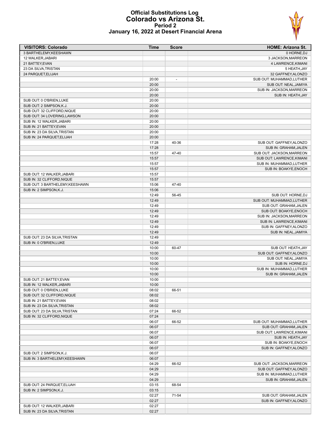#### **Official Substitutions Log Colorado vs Arizona St. Period 2 January 16, 2022 at Desert Financial Arena**

| <b>VISITORS: Colorado</b>                              | Time           | <b>Score</b> | <b>HOME: Arizona St.</b>  |
|--------------------------------------------------------|----------------|--------------|---------------------------|
| 3 BARTHELEMY, KEESHAWN                                 |                |              | 0 HORNE.DJ                |
| 12 WALKER, JABARI                                      |                |              | 3 JACKSON, MARREON        |
| 21 BATTEY, EVAN                                        |                |              | 4 LAWRENCE, KIMANI        |
| 23 DA SILVA, TRISTAN                                   |                |              | 5 HEATH, JAY              |
| 24 PARQUET, ELIJAH                                     |                |              | 32 GAFFNEY, ALONZO        |
|                                                        | 20:00          |              | SUB OUT: MUHAMMAD, LUTHER |
|                                                        | 20:00          |              | SUB OUT: NEAL, JAMIYA     |
|                                                        | 20:00          |              | SUB IN: JACKSON, MARREON  |
|                                                        | 20:00          |              | SUB IN: HEATH, JAY        |
| SUB OUT: 0 O'BRIEN, LUKE                               | 20:00          |              |                           |
| SUB OUT: 2 SIMPSON, K.J.                               | 20:00          |              |                           |
| SUB OUT: 32 CLIFFORD, NIQUE                            | 20:00          |              |                           |
| SUB OUT: 34 LOVERING, LAWSON                           | 20:00          |              |                           |
| SUB IN: 12 WALKER, JABARI<br>SUB IN: 21 BATTEY, EVAN   | 20:00<br>20:00 |              |                           |
| SUB IN: 23 DA SILVA, TRISTAN                           | 20:00          |              |                           |
| SUB IN: 24 PARQUET, ELIJAH                             | 20:00          |              |                           |
|                                                        | 17:28          | 40-36        | SUB OUT: GAFFNEY, ALONZO  |
|                                                        | 17:28          |              | SUB IN: GRAHAM, JALEN     |
|                                                        | 15:57          | 47-40        | SUB OUT: JACKSON, MARREON |
|                                                        | 15:57          |              | SUB OUT: LAWRENCE, KIMANI |
|                                                        | 15:57          |              | SUB IN: MUHAMMAD, LUTHER  |
|                                                        | 15:57          |              | SUB IN: BOAKYE, ENOCH     |
| SUB OUT: 12 WALKER, JABARI                             | 15:57          |              |                           |
| SUB IN: 32 CLIFFORD, NIQUE                             | 15:57          |              |                           |
| SUB OUT: 3 BARTHELEMY, KEESHAWN                        | 15:06          | 47-40        |                           |
| SUB IN: 2 SIMPSON, K.J.                                | 15:06          |              |                           |
|                                                        | 12:49          | 56-45        | SUB OUT: HORNE, DJ        |
|                                                        | 12:49          |              | SUB OUT: MUHAMMAD, LUTHER |
|                                                        | 12:49          |              | SUB OUT: GRAHAM, JALEN    |
|                                                        | 12:49          |              | SUB OUT: BOAKYE, ENOCH    |
|                                                        | 12:49          |              | SUB IN: JACKSON, MARREON  |
|                                                        | 12:49          |              | SUB IN: LAWRENCE, KIMANI  |
|                                                        | 12:49          |              | SUB IN: GAFFNEY, ALONZO   |
|                                                        | 12:49          |              | SUB IN: NEAL, JAMIYA      |
| SUB OUT: 23 DA SILVA, TRISTAN                          | 12:49          |              |                           |
| SUB IN: 0 O'BRIEN, LUKE                                | 12:49          |              |                           |
|                                                        | 10:00          | 60-47        | SUB OUT: HEATH, JAY       |
|                                                        | 10:00          |              | SUB OUT: GAFFNEY, ALONZO  |
|                                                        | 10:00          |              | SUB OUT: NEAL, JAMIYA     |
|                                                        | 10:00          |              | SUB IN: HORNE, DJ         |
|                                                        | 10:00          |              | SUB IN: MUHAMMAD, LUTHER  |
|                                                        | 10:00          |              | SUB IN: GRAHAM, JALEN     |
| SUB OUT: 21 BATTEY, EVAN                               | 10:00          |              |                           |
| SUB IN: 12 WALKER.JABARI                               | 10:00          |              |                           |
| SUB OUT: 0 O'BRIEN, LUKE                               | 08:02          | 66-51        |                           |
| SUB OUT: 32 CLIFFORD, NIQUE                            | 08:02          |              |                           |
| SUB IN: 21 BATTEY, EVAN                                | 08:02          |              |                           |
| SUB IN: 23 DA SILVA, TRISTAN                           | 08:02          |              |                           |
| SUB OUT: 23 DA SILVA, TRISTAN                          | 07:24          | 66-52        |                           |
| SUB IN: 32 CLIFFORD, NIQUE                             | 07:24          |              |                           |
|                                                        | 06:07          | 66-52        | SUB OUT: MUHAMMAD, LUTHER |
|                                                        | 06:07          |              | SUB OUT: GRAHAM, JALEN    |
|                                                        | 06:07          |              | SUB OUT: LAWRENCE, KIMANI |
|                                                        | 06:07          |              | SUB IN: HEATH, JAY        |
|                                                        | 06:07          |              | SUB IN: BOAKYE, ENOCH     |
|                                                        | 06:07          |              | SUB IN: GAFFNEY, ALONZO   |
| SUB OUT: 2 SIMPSON, K.J.                               | 06:07          |              |                           |
| SUB IN: 3 BARTHELEMY, KEESHAWN                         | 06:07          |              |                           |
|                                                        | 04:29          | 66-52        | SUB OUT: JACKSON, MARREON |
|                                                        | 04:29          |              | SUB OUT: GAFFNEY, ALONZO  |
|                                                        | 04:29          |              | SUB IN: MUHAMMAD, LUTHER  |
|                                                        | 04:29          |              | SUB IN: GRAHAM, JALEN     |
| SUB OUT: 24 PARQUET, ELIJAH<br>SUB IN: 2 SIMPSON, K.J. | 03:15          | 68-54        |                           |
|                                                        | 03:15<br>02:27 | 71-54        | SUB OUT: GRAHAM, JALEN    |
|                                                        | 02:27          |              | SUB IN: GAFFNEY, ALONZO   |
| SUB OUT: 12 WALKER, JABARI                             | 02:27          |              |                           |
| SUB IN: 23 DA SILVA, TRISTAN                           | 02:27          |              |                           |
|                                                        |                |              |                           |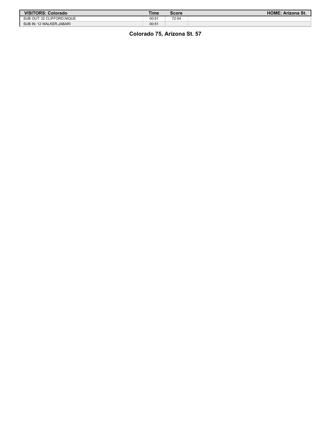| VISITORS: Colorado         | Time  | Score | <b>HOME: Arizona St.</b> |
|----------------------------|-------|-------|--------------------------|
| SUB OUT: 32 CLIFFORD.NIQUE | 00:5' | 72-54 |                          |
| SUB IN: 12 WALKER, JABARI  | 00:51 |       |                          |

## **Colorado 75, Arizona St. 57**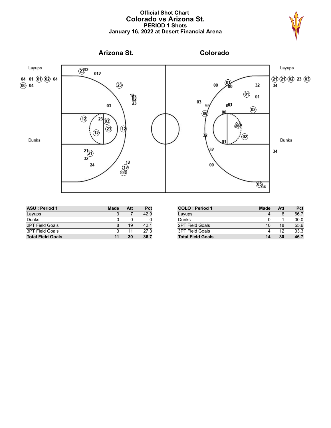### **Official Shot Chart Colorado vs Arizona St. PERIOD 1 Shots January 16, 2022 at Desert Financial Arena**





| <b>ASU: Period 1</b>     | <b>Made</b> | Att | Pct  |
|--------------------------|-------------|-----|------|
| Layups                   |             |     | 42.9 |
| Dunks                    |             |     |      |
| 2PT Field Goals          | 8           | 19  | 42.1 |
| <b>3PT Field Goals</b>   |             | 11  | 27.3 |
| <b>Total Field Goals</b> | 11          | 30  | 36.7 |

| <b>COLO: Period 1</b>    | <b>Made</b> | Att | Pct  |
|--------------------------|-------------|-----|------|
| Layups                   |             | 6   | 66.7 |
| Dunks                    |             |     | 00.0 |
| <b>2PT Field Goals</b>   | 10          | 18  | 55.6 |
| 3PT Field Goals          |             | 12  | 33.3 |
| <b>Total Field Goals</b> | 14          | 30  | 46.7 |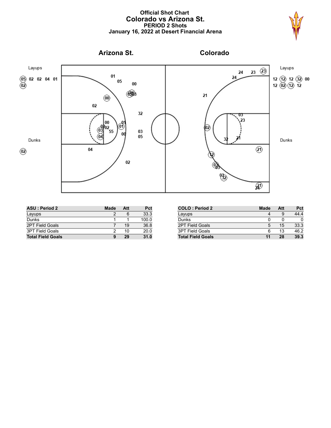### **Official Shot Chart Colorado vs Arizona St. PERIOD 2 Shots January 16, 2022 at Desert Financial Arena**





| <b>ASU: Period 2</b>     | <b>Made</b> | Att | Pct   |
|--------------------------|-------------|-----|-------|
| Layups                   |             |     | 33.3  |
| Dunks                    |             |     | 100.0 |
| 2PT Field Goals          |             | 19  | 36.8  |
| <b>3PT Field Goals</b>   |             | 10  | 20.0  |
| <b>Total Field Goals</b> | 9           | 29  | 31.0  |

| <b>COLO: Period 2</b>    | Made | Att | Pct  |
|--------------------------|------|-----|------|
| Layups                   |      | 9   | 44.4 |
| Dunks                    | O    | O   |      |
| <b>2PT Field Goals</b>   | 5    | 15  | 33.3 |
| <b>3PT Field Goals</b>   | 6    | 13  | 46.2 |
| <b>Total Field Goals</b> | 11   | 28  | 39.3 |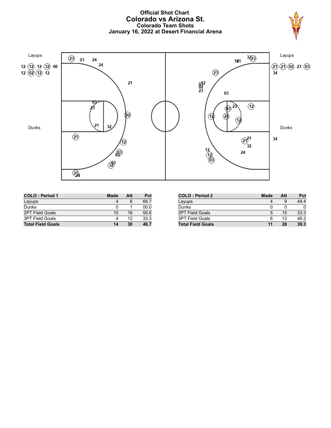### **Official Shot Chart Colorado vs Arizona St. Colorado Team Shots January 16, 2022 at Desert Financial Arena**





| <b>COLO: Period 1</b>    | <b>Made</b> | Att | Pct  |
|--------------------------|-------------|-----|------|
| Layups                   |             |     | 66.7 |
| Dunks                    |             |     | 00.0 |
| 2PT Field Goals          | 10          | 18  | 55.6 |
| <b>3PT Field Goals</b>   |             | 12  | 33.3 |
| <b>Total Field Goals</b> | 14          | 30  | 46.7 |

| <b>COLO: Period 2</b>    | <b>Made</b> | Att | Pct  |
|--------------------------|-------------|-----|------|
| Layups                   |             |     | 44.4 |
| Dunks                    |             |     |      |
| <b>2PT Field Goals</b>   | 5           | 15  | 33.3 |
| <b>3PT Field Goals</b>   | 6           | 13  | 46.2 |
| <b>Total Field Goals</b> | 11          | 28  | 39.3 |